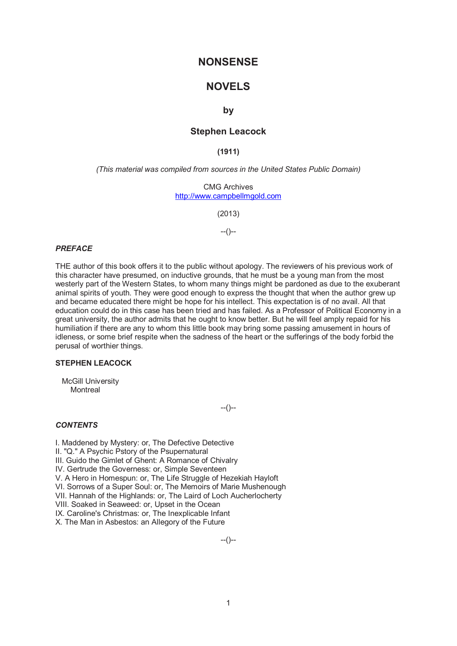# **NONSENSE**

# **NOVELS**

## **by**

## **Stephen Leacock**

**(1911)** 

*(This material was compiled from sources in the United States Public Domain)* 

CMG Archives http://www.campbellmgold.com

(2013)

 $-(-)$ 

### *PREFACE*

THE author of this book offers it to the public without apology. The reviewers of his previous work of this character have presumed, on inductive grounds, that he must be a young man from the most westerly part of the Western States, to whom many things might be pardoned as due to the exuberant animal spirits of youth. They were good enough to express the thought that when the author grew up and became educated there might be hope for his intellect. This expectation is of no avail. All that education could do in this case has been tried and has failed. As a Professor of Political Economy in a great university, the author admits that he ought to know better. But he will feel amply repaid for his humiliation if there are any to whom this little book may bring some passing amusement in hours of idleness, or some brief respite when the sadness of the heart or the sufferings of the body forbid the perusal of worthier things.

#### **STEPHEN LEACOCK**

 McGill University **Montreal** 

--()--

### *CONTENTS*

I. Maddened by Mystery: or, The Defective Detective II. "Q." A Psychic Pstory of the Psupernatural III. Guido the Gimlet of Ghent: A Romance of Chivalry IV. Gertrude the Governess: or, Simple Seventeen V. A Hero in Homespun: or, The Life Struggle of Hezekiah Hayloft VI. Sorrows of a Super Soul: or, The Memoirs of Marie Mushenough VII. Hannah of the Highlands: or, The Laird of Loch Aucherlocherty VIII. Soaked in Seaweed: or, Upset in the Ocean IX. Caroline's Christmas: or, The Inexplicable Infant X. The Man in Asbestos: an Allegory of the Future

--()--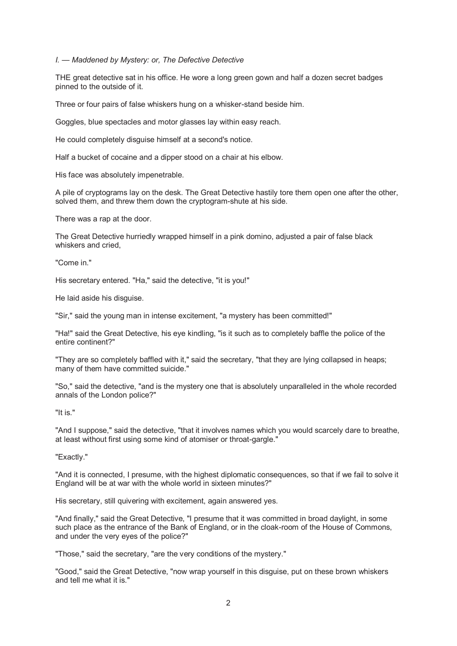#### *I. — Maddened by Mystery: or, The Defective Detective*

THE great detective sat in his office. He wore a long green gown and half a dozen secret badges pinned to the outside of it.

Three or four pairs of false whiskers hung on a whisker-stand beside him.

Goggles, blue spectacles and motor glasses lay within easy reach.

He could completely disguise himself at a second's notice.

Half a bucket of cocaine and a dipper stood on a chair at his elbow.

His face was absolutely impenetrable.

A pile of cryptograms lay on the desk. The Great Detective hastily tore them open one after the other, solved them, and threw them down the cryptogram-shute at his side.

There was a rap at the door.

The Great Detective hurriedly wrapped himself in a pink domino, adjusted a pair of false black whiskers and cried,

"Come in."

His secretary entered. "Ha," said the detective, "it is you!"

He laid aside his disguise.

"Sir," said the young man in intense excitement, "a mystery has been committed!"

"Ha!" said the Great Detective, his eye kindling, "is it such as to completely baffle the police of the entire continent?"

"They are so completely baffled with it," said the secretary, "that they are lying collapsed in heaps; many of them have committed suicide."

"So," said the detective, "and is the mystery one that is absolutely unparalleled in the whole recorded annals of the London police?"

"It is."

"And I suppose," said the detective, "that it involves names which you would scarcely dare to breathe, at least without first using some kind of atomiser or throat-gargle."

"Exactly."

"And it is connected, I presume, with the highest diplomatic consequences, so that if we fail to solve it England will be at war with the whole world in sixteen minutes?"

His secretary, still quivering with excitement, again answered yes.

"And finally," said the Great Detective, "I presume that it was committed in broad daylight, in some such place as the entrance of the Bank of England, or in the cloak-room of the House of Commons, and under the very eyes of the police?"

"Those," said the secretary, "are the very conditions of the mystery."

"Good," said the Great Detective, "now wrap yourself in this disguise, put on these brown whiskers and tell me what it is."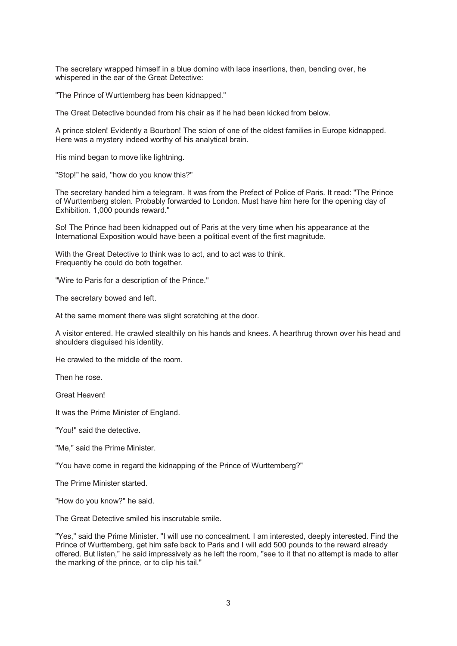The secretary wrapped himself in a blue domino with lace insertions, then, bending over, he whispered in the ear of the Great Detective:

"The Prince of Wurttemberg has been kidnapped."

The Great Detective bounded from his chair as if he had been kicked from below.

A prince stolen! Evidently a Bourbon! The scion of one of the oldest families in Europe kidnapped. Here was a mystery indeed worthy of his analytical brain.

His mind began to move like lightning.

"Stop!" he said, "how do you know this?"

The secretary handed him a telegram. It was from the Prefect of Police of Paris. It read: "The Prince of Wurttemberg stolen. Probably forwarded to London. Must have him here for the opening day of Exhibition. 1,000 pounds reward."

So! The Prince had been kidnapped out of Paris at the very time when his appearance at the International Exposition would have been a political event of the first magnitude.

With the Great Detective to think was to act, and to act was to think. Frequently he could do both together.

"Wire to Paris for a description of the Prince."

The secretary bowed and left.

At the same moment there was slight scratching at the door.

A visitor entered. He crawled stealthily on his hands and knees. A hearthrug thrown over his head and shoulders disguised his identity.

He crawled to the middle of the room.

Then he rose.

Great Heaven!

It was the Prime Minister of England.

"You!" said the detective.

"Me," said the Prime Minister.

"You have come in regard the kidnapping of the Prince of Wurttemberg?"

The Prime Minister started.

"How do you know?" he said.

The Great Detective smiled his inscrutable smile.

"Yes," said the Prime Minister. "I will use no concealment. I am interested, deeply interested. Find the Prince of Wurttemberg, get him safe back to Paris and I will add 500 pounds to the reward already offered. But listen," he said impressively as he left the room, "see to it that no attempt is made to alter the marking of the prince, or to clip his tail."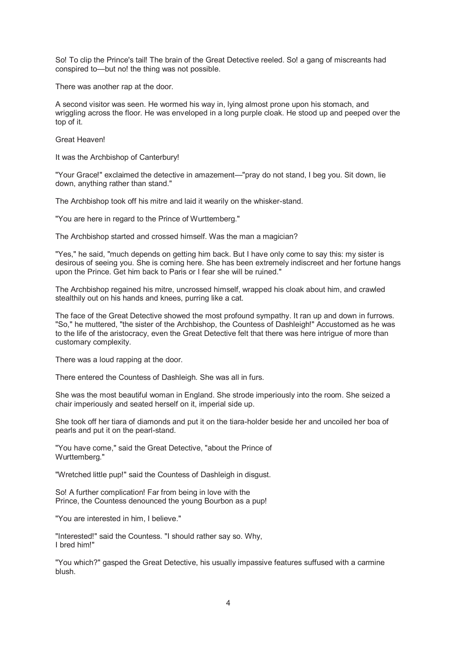So! To clip the Prince's tail! The brain of the Great Detective reeled. So! a gang of miscreants had conspired to—but no! the thing was not possible.

There was another rap at the door.

A second visitor was seen. He wormed his way in, lying almost prone upon his stomach, and wriggling across the floor. He was enveloped in a long purple cloak. He stood up and peeped over the top of it.

Great Heaven!

It was the Archbishop of Canterbury!

"Your Grace!" exclaimed the detective in amazement—"pray do not stand, I beg you. Sit down, lie down, anything rather than stand."

The Archbishop took off his mitre and laid it wearily on the whisker-stand.

"You are here in regard to the Prince of Wurttemberg."

The Archbishop started and crossed himself. Was the man a magician?

"Yes," he said, "much depends on getting him back. But I have only come to say this: my sister is desirous of seeing you. She is coming here. She has been extremely indiscreet and her fortune hangs upon the Prince. Get him back to Paris or I fear she will be ruined."

The Archbishop regained his mitre, uncrossed himself, wrapped his cloak about him, and crawled stealthily out on his hands and knees, purring like a cat.

The face of the Great Detective showed the most profound sympathy. It ran up and down in furrows. "So," he muttered, "the sister of the Archbishop, the Countess of Dashleigh!" Accustomed as he was to the life of the aristocracy, even the Great Detective felt that there was here intrigue of more than customary complexity.

There was a loud rapping at the door.

There entered the Countess of Dashleigh. She was all in furs.

She was the most beautiful woman in England. She strode imperiously into the room. She seized a chair imperiously and seated herself on it, imperial side up.

She took off her tiara of diamonds and put it on the tiara-holder beside her and uncoiled her boa of pearls and put it on the pearl-stand.

"You have come," said the Great Detective, "about the Prince of Wurttemberg."

"Wretched little pup!" said the Countess of Dashleigh in disgust.

So! A further complication! Far from being in love with the Prince, the Countess denounced the young Bourbon as a pup!

"You are interested in him, I believe."

"Interested!" said the Countess. "I should rather say so. Why, I bred him!"

"You which?" gasped the Great Detective, his usually impassive features suffused with a carmine blush.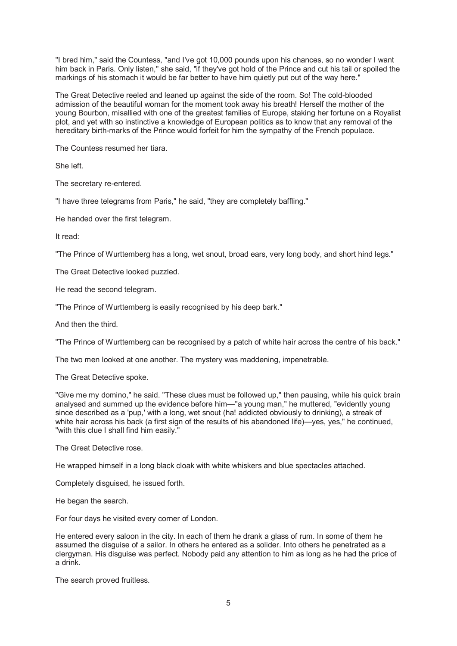"I bred him," said the Countess, "and I've got 10,000 pounds upon his chances, so no wonder I want him back in Paris. Only listen," she said, "if they've got hold of the Prince and cut his tail or spoiled the markings of his stomach it would be far better to have him quietly put out of the way here."

The Great Detective reeled and leaned up against the side of the room. So! The cold-blooded admission of the beautiful woman for the moment took away his breath! Herself the mother of the young Bourbon, misallied with one of the greatest families of Europe, staking her fortune on a Royalist plot, and yet with so instinctive a knowledge of European politics as to know that any removal of the hereditary birth-marks of the Prince would forfeit for him the sympathy of the French populace.

The Countess resumed her tiara.

She left.

The secretary re-entered.

"I have three telegrams from Paris," he said, "they are completely baffling."

He handed over the first telegram.

It read:

"The Prince of Wurttemberg has a long, wet snout, broad ears, very long body, and short hind legs."

The Great Detective looked puzzled.

He read the second telegram.

"The Prince of Wurttemberg is easily recognised by his deep bark."

And then the third.

"The Prince of Wurttemberg can be recognised by a patch of white hair across the centre of his back."

The two men looked at one another. The mystery was maddening, impenetrable.

The Great Detective spoke.

"Give me my domino," he said. "These clues must be followed up," then pausing, while his quick brain analysed and summed up the evidence before him—"a young man," he muttered, "evidently young since described as a 'pup,' with a long, wet snout (ha! addicted obviously to drinking), a streak of white hair across his back (a first sign of the results of his abandoned life)—yes, yes," he continued, "with this clue I shall find him easily."

The Great Detective rose.

He wrapped himself in a long black cloak with white whiskers and blue spectacles attached.

Completely disguised, he issued forth.

He began the search.

For four days he visited every corner of London.

He entered every saloon in the city. In each of them he drank a glass of rum. In some of them he assumed the disguise of a sailor. In others he entered as a solider. Into others he penetrated as a clergyman. His disguise was perfect. Nobody paid any attention to him as long as he had the price of a drink.

The search proved fruitless.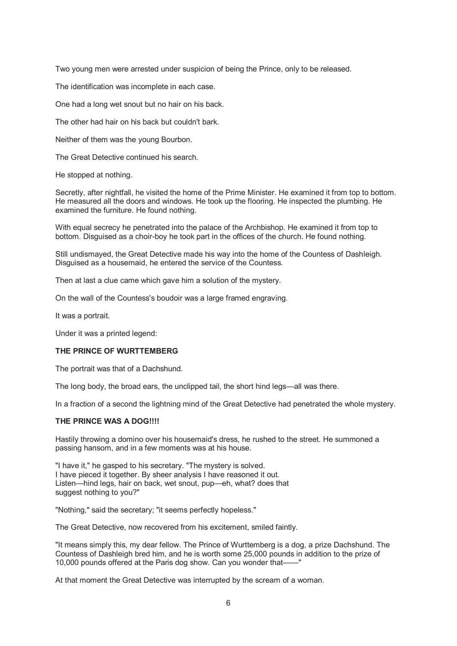Two young men were arrested under suspicion of being the Prince, only to be released.

The identification was incomplete in each case.

One had a long wet snout but no hair on his back.

The other had hair on his back but couldn't bark.

Neither of them was the young Bourbon.

The Great Detective continued his search.

He stopped at nothing.

Secretly, after nightfall, he visited the home of the Prime Minister. He examined it from top to bottom. He measured all the doors and windows. He took up the flooring. He inspected the plumbing. He examined the furniture. He found nothing.

With equal secrecy he penetrated into the palace of the Archbishop. He examined it from top to bottom. Disguised as a choir-boy he took part in the offices of the church. He found nothing.

Still undismayed, the Great Detective made his way into the home of the Countess of Dashleigh. Disguised as a housemaid, he entered the service of the Countess.

Then at last a clue came which gave him a solution of the mystery.

On the wall of the Countess's boudoir was a large framed engraving.

It was a portrait.

Under it was a printed legend:

#### **THE PRINCE OF WURTTEMBERG**

The portrait was that of a Dachshund.

The long body, the broad ears, the unclipped tail, the short hind legs—all was there.

In a fraction of a second the lightning mind of the Great Detective had penetrated the whole mystery.

## **THE PRINCE WAS A DOG!!!!**

Hastily throwing a domino over his housemaid's dress, he rushed to the street. He summoned a passing hansom, and in a few moments was at his house.

"I have it," he gasped to his secretary. "The mystery is solved. I have pieced it together. By sheer analysis I have reasoned it out. Listen—hind legs, hair on back, wet snout, pup—eh, what? does that suggest nothing to you?"

"Nothing," said the secretary; "it seems perfectly hopeless."

The Great Detective, now recovered from his excitement, smiled faintly.

"It means simply this, my dear fellow. The Prince of Wurttemberg is a dog, a prize Dachshund. The Countess of Dashleigh bred him, and he is worth some 25,000 pounds in addition to the prize of 10,000 pounds offered at the Paris dog show. Can you wonder that——"

At that moment the Great Detective was interrupted by the scream of a woman.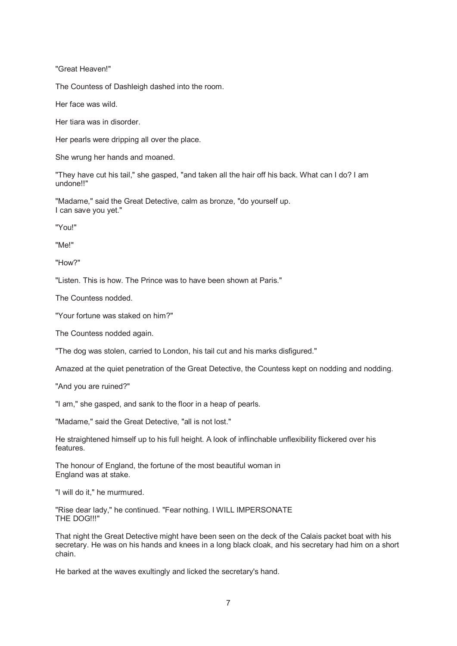"Great Heaven!"

The Countess of Dashleigh dashed into the room.

Her face was wild.

Her tiara was in disorder.

Her pearls were dripping all over the place.

She wrung her hands and moaned.

"They have cut his tail," she gasped, "and taken all the hair off his back. What can I do? I am undone!!"

"Madame," said the Great Detective, calm as bronze, "do yourself up. I can save you yet."

"You!"

"Me!"

"How?"

"Listen. This is how. The Prince was to have been shown at Paris."

The Countess nodded.

"Your fortune was staked on him?"

The Countess nodded again.

"The dog was stolen, carried to London, his tail cut and his marks disfigured."

Amazed at the quiet penetration of the Great Detective, the Countess kept on nodding and nodding.

"And you are ruined?"

"I am," she gasped, and sank to the floor in a heap of pearls.

"Madame," said the Great Detective, "all is not lost."

He straightened himself up to his full height. A look of inflinchable unflexibility flickered over his features.

The honour of England, the fortune of the most beautiful woman in England was at stake.

"I will do it," he murmured.

"Rise dear lady," he continued. "Fear nothing. I WILL IMPERSONATE THE DOG!!!"

That night the Great Detective might have been seen on the deck of the Calais packet boat with his secretary. He was on his hands and knees in a long black cloak, and his secretary had him on a short chain.

He barked at the waves exultingly and licked the secretary's hand.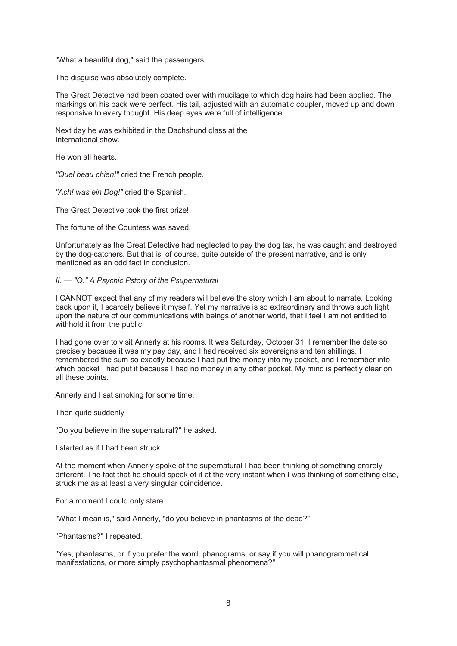"What a beautiful dog," said the passengers.

The disguise was absolutely complete.

The Great Detective had been coated over with mucilage to which dog hairs had been applied. The markings on his back were perfect. His tail, adjusted with an automatic coupler, moved up and down responsive to every thought. His deep eyes were full of intelligence.

Next day he was exhibited in the Dachshund class at the International show.

He won all hearts.

*"Quel beau chien!"* cried the French people.

*"Ach! was ein Dog!"* cried the Spanish.

The Great Detective took the first prize!

The fortune of the Countess was saved.

Unfortunately as the Great Detective had neglected to pay the dog tax, he was caught and destroyed by the dog-catchers. But that is, of course, quite outside of the present narrative, and is only mentioned as an odd fact in conclusion.

#### *II. — "Q." A Psychic Pstory of the Psupernatural*

I CANNOT expect that any of my readers will believe the story which I am about to narrate. Looking back upon it, I scarcely believe it myself. Yet my narrative is so extraordinary and throws such light upon the nature of our communications with beings of another world, that I feel I am not entitled to withhold it from the public.

I had gone over to visit Annerly at his rooms. It was Saturday, October 31. I remember the date so precisely because it was my pay day, and I had received six sovereigns and ten shillings. I remembered the sum so exactly because I had put the money into my pocket, and I remember into which pocket I had put it because I had no money in any other pocket. My mind is perfectly clear on all these points.

Annerly and I sat smoking for some time.

Then quite suddenly-

"Do you believe in the supernatural?" he asked.

I started as if I had been struck.

At the moment when Annerly spoke of the supernatural I had been thinking of something entirely different. The fact that he should speak of it at the very instant when I was thinking of something else, struck me as at least a very singular coincidence.

For a moment I could only stare.

"What I mean is," said Annerly, "do you believe in phantasms of the dead?"

"Phantasms?" I repeated.

"Yes, phantasms, or if you prefer the word, phanograms, or say if you will phanogrammatical manifestations, or more simply psychophantasmal phenomena?"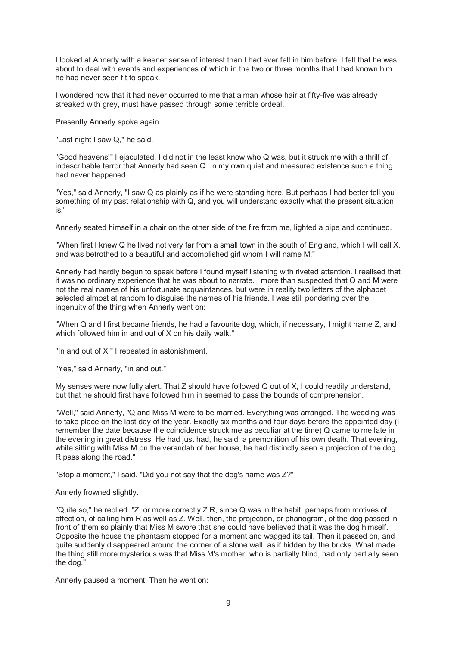I looked at Annerly with a keener sense of interest than I had ever felt in him before. I felt that he was about to deal with events and experiences of which in the two or three months that I had known him he had never seen fit to speak.

I wondered now that it had never occurred to me that a man whose hair at fifty-five was already streaked with grey, must have passed through some terrible ordeal.

Presently Annerly spoke again.

"Last night I saw Q," he said.

"Good heavens!" I ejaculated. I did not in the least know who Q was, but it struck me with a thrill of indescribable terror that Annerly had seen Q. In my own quiet and measured existence such a thing had never happened.

"Yes," said Annerly, "I saw Q as plainly as if he were standing here. But perhaps I had better tell you something of my past relationship with Q, and you will understand exactly what the present situation is."

Annerly seated himself in a chair on the other side of the fire from me, lighted a pipe and continued.

"When first I knew Q he lived not very far from a small town in the south of England, which I will call X, and was betrothed to a beautiful and accomplished girl whom I will name M."

Annerly had hardly begun to speak before I found myself listening with riveted attention. I realised that it was no ordinary experience that he was about to narrate. I more than suspected that Q and M were not the real names of his unfortunate acquaintances, but were in reality two letters of the alphabet selected almost at random to disguise the names of his friends. I was still pondering over the ingenuity of the thing when Annerly went on:

"When Q and I first became friends, he had a favourite dog, which, if necessary, I might name Z, and which followed him in and out of X on his daily walk."

"In and out of X," I repeated in astonishment.

"Yes," said Annerly, "in and out."

My senses were now fully alert. That Z should have followed Q out of X, I could readily understand, but that he should first have followed him in seemed to pass the bounds of comprehension.

"Well," said Annerly, "Q and Miss M were to be married. Everything was arranged. The wedding was to take place on the last day of the year. Exactly six months and four days before the appointed day (I remember the date because the coincidence struck me as peculiar at the time) Q came to me late in the evening in great distress. He had just had, he said, a premonition of his own death. That evening, while sitting with Miss M on the verandah of her house, he had distinctly seen a projection of the dog R pass along the road."

"Stop a moment," I said. "Did you not say that the dog's name was Z?"

Annerly frowned slightly.

"Quite so," he replied. "Z, or more correctly Z R, since Q was in the habit, perhaps from motives of affection, of calling him R as well as Z. Well, then, the projection, or phanogram, of the dog passed in front of them so plainly that Miss M swore that she could have believed that it was the dog himself. Opposite the house the phantasm stopped for a moment and wagged its tail. Then it passed on, and quite suddenly disappeared around the corner of a stone wall, as if hidden by the bricks. What made the thing still more mysterious was that Miss M's mother, who is partially blind, had only partially seen the dog."

Annerly paused a moment. Then he went on: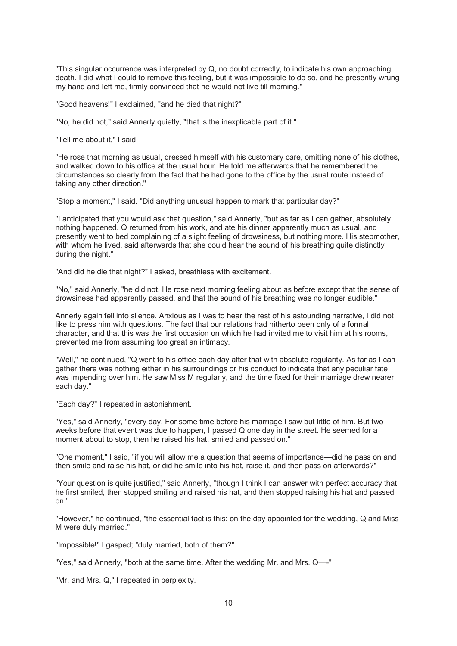"This singular occurrence was interpreted by Q, no doubt correctly, to indicate his own approaching death. I did what I could to remove this feeling, but it was impossible to do so, and he presently wrung my hand and left me, firmly convinced that he would not live till morning."

"Good heavens!" I exclaimed, "and he died that night?"

"No, he did not," said Annerly quietly, "that is the inexplicable part of it."

"Tell me about it," I said.

"He rose that morning as usual, dressed himself with his customary care, omitting none of his clothes, and walked down to his office at the usual hour. He told me afterwards that he remembered the circumstances so clearly from the fact that he had gone to the office by the usual route instead of taking any other direction."

"Stop a moment," I said. "Did anything unusual happen to mark that particular day?"

"I anticipated that you would ask that question," said Annerly, "but as far as I can gather, absolutely nothing happened. Q returned from his work, and ate his dinner apparently much as usual, and presently went to bed complaining of a slight feeling of drowsiness, but nothing more. His stepmother, with whom he lived, said afterwards that she could hear the sound of his breathing quite distinctly during the night."

"And did he die that night?" I asked, breathless with excitement.

"No," said Annerly, "he did not. He rose next morning feeling about as before except that the sense of drowsiness had apparently passed, and that the sound of his breathing was no longer audible."

Annerly again fell into silence. Anxious as I was to hear the rest of his astounding narrative, I did not like to press him with questions. The fact that our relations had hitherto been only of a formal character, and that this was the first occasion on which he had invited me to visit him at his rooms, prevented me from assuming too great an intimacy.

"Well," he continued, "Q went to his office each day after that with absolute regularity. As far as I can gather there was nothing either in his surroundings or his conduct to indicate that any peculiar fate was impending over him. He saw Miss M regularly, and the time fixed for their marriage drew nearer each day."

"Each day?" I repeated in astonishment.

"Yes," said Annerly, "every day. For some time before his marriage I saw but little of him. But two weeks before that event was due to happen, I passed Q one day in the street. He seemed for a moment about to stop, then he raised his hat, smiled and passed on."

"One moment," I said, "if you will allow me a question that seems of importance—did he pass on and then smile and raise his hat, or did he smile into his hat, raise it, and then pass on afterwards?"

"Your question is quite justified," said Annerly, "though I think I can answer with perfect accuracy that he first smiled, then stopped smiling and raised his hat, and then stopped raising his hat and passed on."

"However," he continued, "the essential fact is this: on the day appointed for the wedding, Q and Miss M were duly married."

"Impossible!" I gasped; "duly married, both of them?"

"Yes," said Annerly, "both at the same time. After the wedding Mr. and Mrs. Q—-"

"Mr. and Mrs. Q," I repeated in perplexity.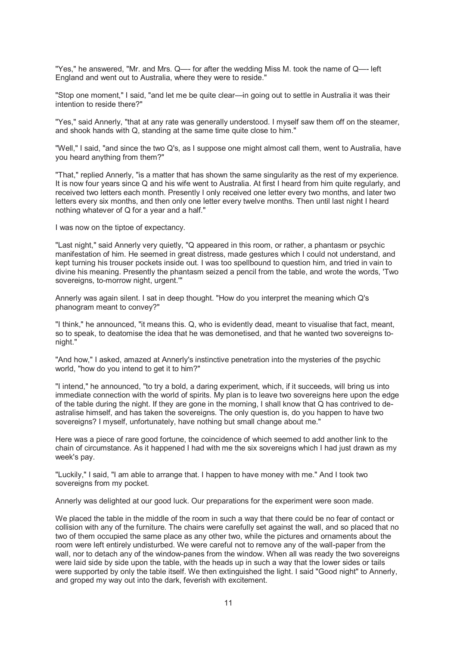"Yes," he answered, "Mr. and Mrs. Q—- for after the wedding Miss M. took the name of Q—- left England and went out to Australia, where they were to reside."

"Stop one moment," I said, "and let me be quite clear—in going out to settle in Australia it was their intention to reside there?"

"Yes," said Annerly, "that at any rate was generally understood. I myself saw them off on the steamer, and shook hands with Q, standing at the same time quite close to him."

"Well," I said, "and since the two Q's, as I suppose one might almost call them, went to Australia, have you heard anything from them?"

"That," replied Annerly, "is a matter that has shown the same singularity as the rest of my experience. It is now four years since Q and his wife went to Australia. At first I heard from him quite regularly, and received two letters each month. Presently I only received one letter every two months, and later two letters every six months, and then only one letter every twelve months. Then until last night I heard nothing whatever of Q for a year and a half."

I was now on the tiptoe of expectancy.

"Last night," said Annerly very quietly, "Q appeared in this room, or rather, a phantasm or psychic manifestation of him. He seemed in great distress, made gestures which I could not understand, and kept turning his trouser pockets inside out. I was too spellbound to question him, and tried in vain to divine his meaning. Presently the phantasm seized a pencil from the table, and wrote the words, 'Two sovereigns, to-morrow night, urgent.'"

Annerly was again silent. I sat in deep thought. "How do you interpret the meaning which Q's phanogram meant to convey?"

"I think," he announced, "it means this. Q, who is evidently dead, meant to visualise that fact, meant, so to speak, to deatomise the idea that he was demonetised, and that he wanted two sovereigns tonight."

"And how," I asked, amazed at Annerly's instinctive penetration into the mysteries of the psychic world, "how do you intend to get it to him?"

"I intend," he announced, "to try a bold, a daring experiment, which, if it succeeds, will bring us into immediate connection with the world of spirits. My plan is to leave two sovereigns here upon the edge of the table during the night. If they are gone in the morning, I shall know that Q has contrived to deastralise himself, and has taken the sovereigns. The only question is, do you happen to have two sovereigns? I myself, unfortunately, have nothing but small change about me."

Here was a piece of rare good fortune, the coincidence of which seemed to add another link to the chain of circumstance. As it happened I had with me the six sovereigns which I had just drawn as my week's pay.

"Luckily," I said, "I am able to arrange that. I happen to have money with me." And I took two sovereigns from my pocket.

Annerly was delighted at our good luck. Our preparations for the experiment were soon made.

We placed the table in the middle of the room in such a way that there could be no fear of contact or collision with any of the furniture. The chairs were carefully set against the wall, and so placed that no two of them occupied the same place as any other two, while the pictures and ornaments about the room were left entirely undisturbed. We were careful not to remove any of the wall-paper from the wall, nor to detach any of the window-panes from the window. When all was ready the two sovereigns were laid side by side upon the table, with the heads up in such a way that the lower sides or tails were supported by only the table itself. We then extinguished the light. I said "Good night" to Annerly, and groped my way out into the dark, feverish with excitement.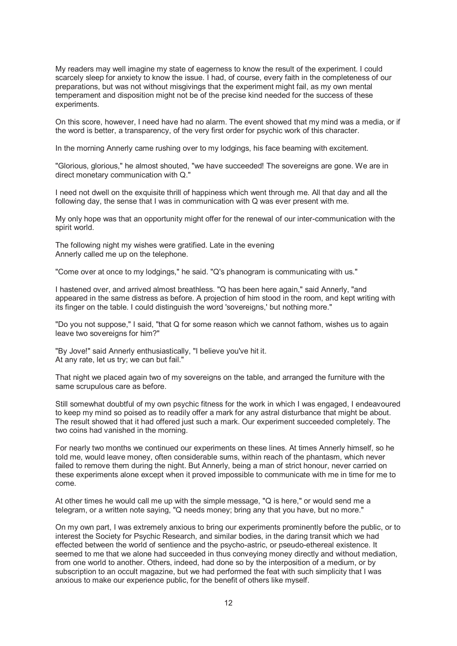My readers may well imagine my state of eagerness to know the result of the experiment. I could scarcely sleep for anxiety to know the issue. I had, of course, every faith in the completeness of our preparations, but was not without misgivings that the experiment might fail, as my own mental temperament and disposition might not be of the precise kind needed for the success of these experiments.

On this score, however, I need have had no alarm. The event showed that my mind was a media, or if the word is better, a transparency, of the very first order for psychic work of this character.

In the morning Annerly came rushing over to my lodgings, his face beaming with excitement.

"Glorious, glorious," he almost shouted, "we have succeeded! The sovereigns are gone. We are in direct monetary communication with Q."

I need not dwell on the exquisite thrill of happiness which went through me. All that day and all the following day, the sense that I was in communication with Q was ever present with me.

My only hope was that an opportunity might offer for the renewal of our inter-communication with the spirit world.

The following night my wishes were gratified. Late in the evening Annerly called me up on the telephone.

"Come over at once to my lodgings," he said. "Q's phanogram is communicating with us."

I hastened over, and arrived almost breathless. "Q has been here again," said Annerly, "and appeared in the same distress as before. A projection of him stood in the room, and kept writing with its finger on the table. I could distinguish the word 'sovereigns,' but nothing more."

"Do you not suppose," I said, "that Q for some reason which we cannot fathom, wishes us to again leave two sovereigns for him?"

"By Jove!" said Annerly enthusiastically, "I believe you've hit it. At any rate, let us try; we can but fail."

That night we placed again two of my sovereigns on the table, and arranged the furniture with the same scrupulous care as before.

Still somewhat doubtful of my own psychic fitness for the work in which I was engaged, I endeavoured to keep my mind so poised as to readily offer a mark for any astral disturbance that might be about. The result showed that it had offered just such a mark. Our experiment succeeded completely. The two coins had vanished in the morning.

For nearly two months we continued our experiments on these lines. At times Annerly himself, so he told me, would leave money, often considerable sums, within reach of the phantasm, which never failed to remove them during the night. But Annerly, being a man of strict honour, never carried on these experiments alone except when it proved impossible to communicate with me in time for me to come.

At other times he would call me up with the simple message, "Q is here," or would send me a telegram, or a written note saying, "Q needs money; bring any that you have, but no more."

On my own part, I was extremely anxious to bring our experiments prominently before the public, or to interest the Society for Psychic Research, and similar bodies, in the daring transit which we had effected between the world of sentience and the psycho-astric, or pseudo-ethereal existence. It seemed to me that we alone had succeeded in thus conveying money directly and without mediation, from one world to another. Others, indeed, had done so by the interposition of a medium, or by subscription to an occult magazine, but we had performed the feat with such simplicity that I was anxious to make our experience public, for the benefit of others like myself.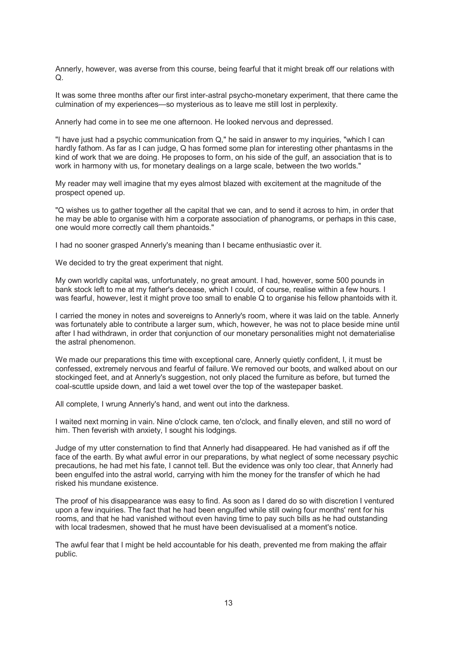Annerly, however, was averse from this course, being fearful that it might break off our relations with Q.

It was some three months after our first inter-astral psycho-monetary experiment, that there came the culmination of my experiences—so mysterious as to leave me still lost in perplexity.

Annerly had come in to see me one afternoon. He looked nervous and depressed.

"I have just had a psychic communication from Q," he said in answer to my inquiries, "which I can hardly fathom. As far as I can judge, Q has formed some plan for interesting other phantasms in the kind of work that we are doing. He proposes to form, on his side of the gulf, an association that is to work in harmony with us, for monetary dealings on a large scale, between the two worlds."

My reader may well imagine that my eyes almost blazed with excitement at the magnitude of the prospect opened up.

"Q wishes us to gather together all the capital that we can, and to send it across to him, in order that he may be able to organise with him a corporate association of phanograms, or perhaps in this case, one would more correctly call them phantoids."

I had no sooner grasped Annerly's meaning than I became enthusiastic over it.

We decided to try the great experiment that night.

My own worldly capital was, unfortunately, no great amount. I had, however, some 500 pounds in bank stock left to me at my father's decease, which I could, of course, realise within a few hours. I was fearful, however, lest it might prove too small to enable Q to organise his fellow phantoids with it.

I carried the money in notes and sovereigns to Annerly's room, where it was laid on the table. Annerly was fortunately able to contribute a larger sum, which, however, he was not to place beside mine until after I had withdrawn, in order that conjunction of our monetary personalities might not dematerialise the astral phenomenon.

We made our preparations this time with exceptional care. Annerly quietly confident, I, it must be confessed, extremely nervous and fearful of failure. We removed our boots, and walked about on our stockinged feet, and at Annerly's suggestion, not only placed the furniture as before, but turned the coal-scuttle upside down, and laid a wet towel over the top of the wastepaper basket.

All complete, I wrung Annerly's hand, and went out into the darkness.

I waited next morning in vain. Nine o'clock came, ten o'clock, and finally eleven, and still no word of him. Then feverish with anxiety, I sought his lodgings.

Judge of my utter consternation to find that Annerly had disappeared. He had vanished as if off the face of the earth. By what awful error in our preparations, by what neglect of some necessary psychic precautions, he had met his fate, I cannot tell. But the evidence was only too clear, that Annerly had been engulfed into the astral world, carrying with him the money for the transfer of which he had risked his mundane existence.

The proof of his disappearance was easy to find. As soon as I dared do so with discretion I ventured upon a few inquiries. The fact that he had been engulfed while still owing four months' rent for his rooms, and that he had vanished without even having time to pay such bills as he had outstanding with local tradesmen, showed that he must have been devisualised at a moment's notice.

The awful fear that I might be held accountable for his death, prevented me from making the affair public.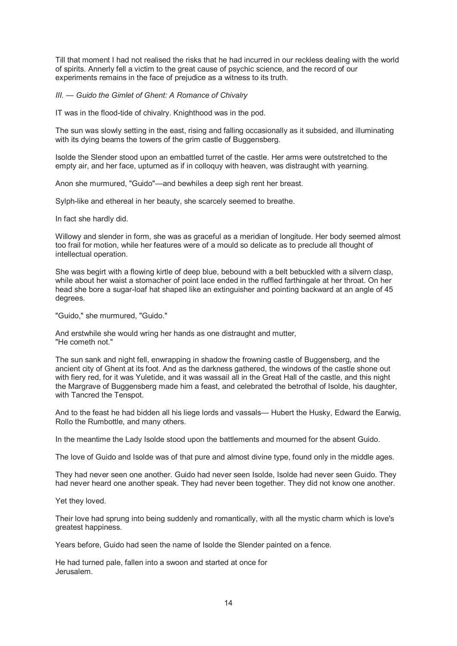Till that moment I had not realised the risks that he had incurred in our reckless dealing with the world of spirits. Annerly fell a victim to the great cause of psychic science, and the record of our experiments remains in the face of prejudice as a witness to its truth.

*III. — Guido the Gimlet of Ghent: A Romance of Chivalry*

IT was in the flood-tide of chivalry. Knighthood was in the pod.

The sun was slowly setting in the east, rising and falling occasionally as it subsided, and illuminating with its dying beams the towers of the grim castle of Buggensberg.

Isolde the Slender stood upon an embattled turret of the castle. Her arms were outstretched to the empty air, and her face, upturned as if in colloquy with heaven, was distraught with yearning.

Anon she murmured, "Guido"—and bewhiles a deep sigh rent her breast.

Sylph-like and ethereal in her beauty, she scarcely seemed to breathe.

In fact she hardly did.

Willowy and slender in form, she was as graceful as a meridian of longitude. Her body seemed almost too frail for motion, while her features were of a mould so delicate as to preclude all thought of intellectual operation.

She was begirt with a flowing kirtle of deep blue, bebound with a belt bebuckled with a silvern clasp, while about her waist a stomacher of point lace ended in the ruffled farthingale at her throat. On her head she bore a sugar-loaf hat shaped like an extinguisher and pointing backward at an angle of 45 degrees.

"Guido," she murmured, "Guido."

And erstwhile she would wring her hands as one distraught and mutter, "He cometh not."

The sun sank and night fell, enwrapping in shadow the frowning castle of Buggensberg, and the ancient city of Ghent at its foot. And as the darkness gathered, the windows of the castle shone out with fiery red, for it was Yuletide, and it was wassail all in the Great Hall of the castle, and this night the Margrave of Buggensberg made him a feast, and celebrated the betrothal of Isolde, his daughter, with Tancred the Tenspot.

And to the feast he had bidden all his liege lords and vassals— Hubert the Husky, Edward the Earwig, Rollo the Rumbottle, and many others.

In the meantime the Lady Isolde stood upon the battlements and mourned for the absent Guido.

The love of Guido and Isolde was of that pure and almost divine type, found only in the middle ages.

They had never seen one another. Guido had never seen Isolde, Isolde had never seen Guido. They had never heard one another speak. They had never been together. They did not know one another.

Yet they loved.

Their love had sprung into being suddenly and romantically, with all the mystic charm which is love's greatest happiness.

Years before, Guido had seen the name of Isolde the Slender painted on a fence.

He had turned pale, fallen into a swoon and started at once for Jerusalem.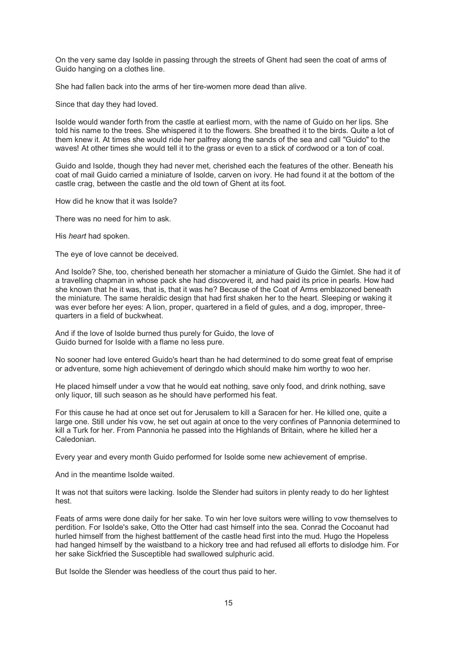On the very same day Isolde in passing through the streets of Ghent had seen the coat of arms of Guido hanging on a clothes line.

She had fallen back into the arms of her tire-women more dead than alive.

Since that day they had loved.

Isolde would wander forth from the castle at earliest morn, with the name of Guido on her lips. She told his name to the trees. She whispered it to the flowers. She breathed it to the birds. Quite a lot of them knew it. At times she would ride her palfrey along the sands of the sea and call "Guido" to the waves! At other times she would tell it to the grass or even to a stick of cordwood or a ton of coal.

Guido and Isolde, though they had never met, cherished each the features of the other. Beneath his coat of mail Guido carried a miniature of Isolde, carven on ivory. He had found it at the bottom of the castle crag, between the castle and the old town of Ghent at its foot.

How did he know that it was Isolde?

There was no need for him to ask.

His *heart* had spoken.

The eye of love cannot be deceived.

And Isolde? She, too, cherished beneath her stomacher a miniature of Guido the Gimlet. She had it of a travelling chapman in whose pack she had discovered it, and had paid its price in pearls. How had she known that he it was, that is, that it was he? Because of the Coat of Arms emblazoned beneath the miniature. The same heraldic design that had first shaken her to the heart. Sleeping or waking it was ever before her eyes: A lion, proper, quartered in a field of gules, and a dog, improper, threequarters in a field of buckwheat.

And if the love of Isolde burned thus purely for Guido, the love of Guido burned for Isolde with a flame no less pure.

No sooner had love entered Guido's heart than he had determined to do some great feat of emprise or adventure, some high achievement of deringdo which should make him worthy to woo her.

He placed himself under a vow that he would eat nothing, save only food, and drink nothing, save only liquor, till such season as he should have performed his feat.

For this cause he had at once set out for Jerusalem to kill a Saracen for her. He killed one, quite a large one. Still under his vow, he set out again at once to the very confines of Pannonia determined to kill a Turk for her. From Pannonia he passed into the Highlands of Britain, where he killed her a Caledonian.

Every year and every month Guido performed for Isolde some new achievement of emprise.

And in the meantime Isolde waited.

It was not that suitors were lacking. Isolde the Slender had suitors in plenty ready to do her lightest hest.

Feats of arms were done daily for her sake. To win her love suitors were willing to vow themselves to perdition. For Isolde's sake, Otto the Otter had cast himself into the sea. Conrad the Cocoanut had hurled himself from the highest battlement of the castle head first into the mud. Hugo the Hopeless had hanged himself by the waistband to a hickory tree and had refused all efforts to dislodge him. For her sake Sickfried the Susceptible had swallowed sulphuric acid.

But Isolde the Slender was heedless of the court thus paid to her.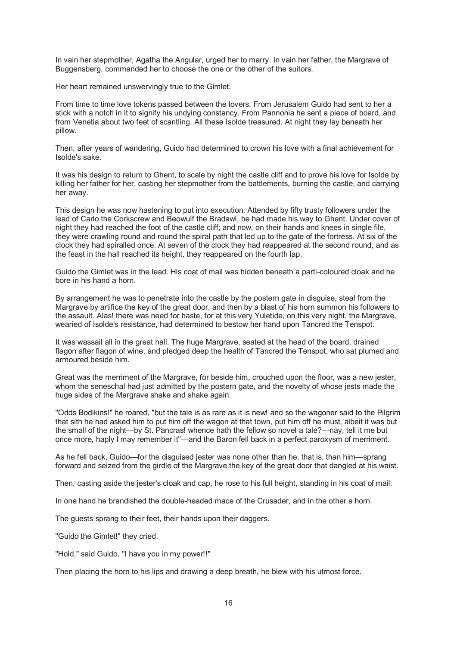In vain her stepmother, Agatha the Angular, urged her to marry. In vain her father, the Margrave of Buggensberg, commanded her to choose the one or the other of the suitors.

Her heart remained unswervingly true to the Gimlet.

From time to time love tokens passed between the lovers. From Jerusalem Guido had sent to her a stick with a notch in it to signify his undying constancy. From Pannonia he sent a piece of board, and from Venetia about two feet of scantling. All these Isolde treasured. At night they lay beneath her pillow.

Then, after years of wandering, Guido had determined to crown his love with a final achievement for Isolde's sake.

It was his design to return to Ghent, to scale by night the castle cliff and to prove his love for Isolde by killing her father for her, casting her stepmother from the battlements, burning the castle, and carrying her away.

This design he was now hastening to put into execution. Attended by fifty trusty followers under the lead of Carlo the Corkscrew and Beowulf the Bradawl, he had made his way to Ghent. Under cover of night they had reached the foot of the castle cliff; and now, on their hands and knees in single file, they were crawling round and round the spiral path that led up to the gate of the fortress. At six of the clock they had spiralled once. At seven of the clock they had reappeared at the second round, and as the feast in the hall reached its height, they reappeared on the fourth lap.

Guido the Gimlet was in the lead. His coat of mail was hidden beneath a parti-coloured cloak and he bore in his hand a horn.

By arrangement he was to penetrate into the castle by the postern gate in disguise, steal from the Margrave by artifice the key of the great door, and then by a blast of his horn summon his followers to the assault. Alas! there was need for haste, for at this very Yuletide, on this very night, the Margrave, wearied of Isolde's resistance, had determined to bestow her hand upon Tancred the Tenspot.

It was wassail all in the great hall. The huge Margrave, seated at the head of the board, drained flagon after flagon of wine, and pledged deep the health of Tancred the Tenspot, who sat plumed and armoured beside him.

Great was the merriment of the Margrave, for beside him, crouched upon the floor, was a new jester, whom the seneschal had just admitted by the postern gate, and the novelty of whose jests made the huge sides of the Margrave shake and shake again.

"Odds Bodikins!" he roared, "but the tale is as rare as it is new! and so the wagoner said to the Pilgrim that sith he had asked him to put him off the wagon at that town, put him off he must, albeit it was but the small of the night—by St. Pancras! whence hath the fellow so novel a tale?—nay, tell it me but once more, haply I may remember it"—and the Baron fell back in a perfect paroxysm of merriment.

As he fell back, Guido—for the disguised jester was none other than he, that is, than him—sprang forward and seized from the girdle of the Margrave the key of the great door that dangled at his waist.

Then, casting aside the jester's cloak and cap, he rose to his full height, standing in his coat of mail.

In one hand he brandished the double-headed mace of the Crusader, and in the other a horn.

The guests sprang to their feet, their hands upon their daggers.

"Guido the Gimlet!" they cried.

"Hold," said Guido, "I have you in my power!!"

Then placing the horn to his lips and drawing a deep breath, he blew with his utmost force.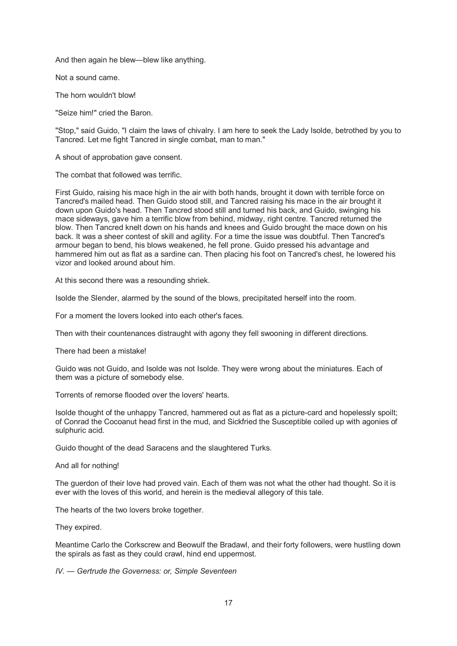And then again he blew—blew like anything.

Not a sound came.

The horn wouldn't blow!

"Seize him!" cried the Baron.

"Stop," said Guido, "I claim the laws of chivalry. I am here to seek the Lady Isolde, betrothed by you to Tancred. Let me fight Tancred in single combat, man to man."

A shout of approbation gave consent.

The combat that followed was terrific.

First Guido, raising his mace high in the air with both hands, brought it down with terrible force on Tancred's mailed head. Then Guido stood still, and Tancred raising his mace in the air brought it down upon Guido's head. Then Tancred stood still and turned his back, and Guido, swinging his mace sideways, gave him a terrific blow from behind, midway, right centre. Tancred returned the blow. Then Tancred knelt down on his hands and knees and Guido brought the mace down on his back. It was a sheer contest of skill and agility. For a time the issue was doubtful. Then Tancred's armour began to bend, his blows weakened, he fell prone. Guido pressed his advantage and hammered him out as flat as a sardine can. Then placing his foot on Tancred's chest, he lowered his vizor and looked around about him.

At this second there was a resounding shriek.

Isolde the Slender, alarmed by the sound of the blows, precipitated herself into the room.

For a moment the lovers looked into each other's faces.

Then with their countenances distraught with agony they fell swooning in different directions.

There had been a mistake!

Guido was not Guido, and Isolde was not Isolde. They were wrong about the miniatures. Each of them was a picture of somebody else.

Torrents of remorse flooded over the lovers' hearts.

Isolde thought of the unhappy Tancred, hammered out as flat as a picture-card and hopelessly spoilt; of Conrad the Cocoanut head first in the mud, and Sickfried the Susceptible coiled up with agonies of sulphuric acid.

Guido thought of the dead Saracens and the slaughtered Turks.

And all for nothing!

The guerdon of their love had proved vain. Each of them was not what the other had thought. So it is ever with the loves of this world, and herein is the medieval allegory of this tale.

The hearts of the two lovers broke together.

They expired.

Meantime Carlo the Corkscrew and Beowulf the Bradawl, and their forty followers, were hustling down the spirals as fast as they could crawl, hind end uppermost.

*IV. — Gertrude the Governess: or, Simple Seventeen*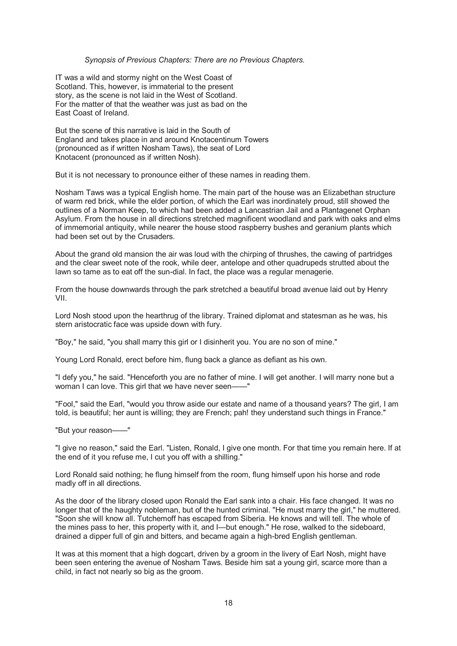#### *Synopsis of Previous Chapters: There are no Previous Chapters.*

IT was a wild and stormy night on the West Coast of Scotland. This, however, is immaterial to the present story, as the scene is not laid in the West of Scotland. For the matter of that the weather was just as bad on the East Coast of Ireland.

But the scene of this narrative is laid in the South of England and takes place in and around Knotacentinum Towers (pronounced as if written Nosham Taws), the seat of Lord Knotacent (pronounced as if written Nosh).

But it is not necessary to pronounce either of these names in reading them.

Nosham Taws was a typical English home. The main part of the house was an Elizabethan structure of warm red brick, while the elder portion, of which the Earl was inordinately proud, still showed the outlines of a Norman Keep, to which had been added a Lancastrian Jail and a Plantagenet Orphan Asylum. From the house in all directions stretched magnificent woodland and park with oaks and elms of immemorial antiquity, while nearer the house stood raspberry bushes and geranium plants which had been set out by the Crusaders.

About the grand old mansion the air was loud with the chirping of thrushes, the cawing of partridges and the clear sweet note of the rook, while deer, antelope and other quadrupeds strutted about the lawn so tame as to eat off the sun-dial. In fact, the place was a regular menagerie.

From the house downwards through the park stretched a beautiful broad avenue laid out by Henry VII.

Lord Nosh stood upon the hearthrug of the library. Trained diplomat and statesman as he was, his stern aristocratic face was upside down with fury.

"Boy," he said, "you shall marry this girl or I disinherit you. You are no son of mine."

Young Lord Ronald, erect before him, flung back a glance as defiant as his own.

"I defy you," he said. "Henceforth you are no father of mine. I will get another. I will marry none but a woman I can love. This girl that we have never seen-

"Fool," said the Earl, "would you throw aside our estate and name of a thousand years? The girl, I am told, is beautiful; her aunt is willing; they are French; pah! they understand such things in France."

"But your reason——"

"I give no reason," said the Earl. "Listen, Ronald, I give one month. For that time you remain here. If at the end of it you refuse me, I cut you off with a shilling."

Lord Ronald said nothing; he flung himself from the room, flung himself upon his horse and rode madly off in all directions.

As the door of the library closed upon Ronald the Earl sank into a chair. His face changed. It was no longer that of the haughty nobleman, but of the hunted criminal. "He must marry the girl," he muttered. "Soon she will know all. Tutchemoff has escaped from Siberia. He knows and will tell. The whole of the mines pass to her, this property with it, and I—but enough." He rose, walked to the sideboard, drained a dipper full of gin and bitters, and became again a high-bred English gentleman.

It was at this moment that a high dogcart, driven by a groom in the livery of Earl Nosh, might have been seen entering the avenue of Nosham Taws. Beside him sat a young girl, scarce more than a child, in fact not nearly so big as the groom.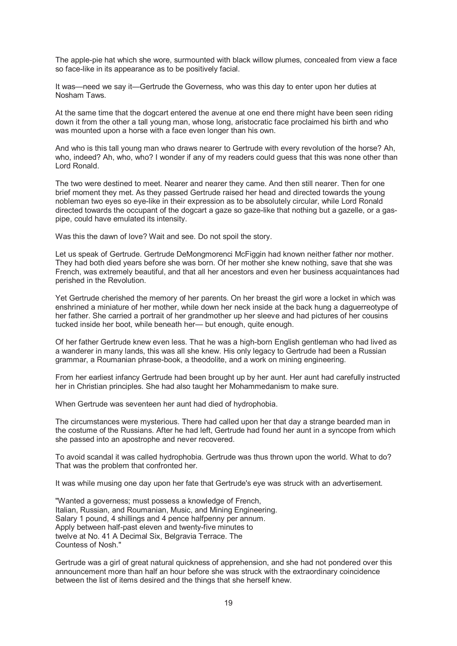The apple-pie hat which she wore, surmounted with black willow plumes, concealed from view a face so face-like in its appearance as to be positively facial.

It was—need we say it—Gertrude the Governess, who was this day to enter upon her duties at Nosham Taws.

At the same time that the dogcart entered the avenue at one end there might have been seen riding down it from the other a tall young man, whose long, aristocratic face proclaimed his birth and who was mounted upon a horse with a face even longer than his own.

And who is this tall young man who draws nearer to Gertrude with every revolution of the horse? Ah, who, indeed? Ah, who, who? I wonder if any of my readers could guess that this was none other than Lord Ronald.

The two were destined to meet. Nearer and nearer they came. And then still nearer. Then for one brief moment they met. As they passed Gertrude raised her head and directed towards the young nobleman two eyes so eye-like in their expression as to be absolutely circular, while Lord Ronald directed towards the occupant of the dogcart a gaze so gaze-like that nothing but a gazelle, or a gaspipe, could have emulated its intensity.

Was this the dawn of love? Wait and see. Do not spoil the story.

Let us speak of Gertrude. Gertrude DeMongmorenci McFiggin had known neither father nor mother. They had both died years before she was born. Of her mother she knew nothing, save that she was French, was extremely beautiful, and that all her ancestors and even her business acquaintances had perished in the Revolution.

Yet Gertrude cherished the memory of her parents. On her breast the girl wore a locket in which was enshrined a miniature of her mother, while down her neck inside at the back hung a daguerreotype of her father. She carried a portrait of her grandmother up her sleeve and had pictures of her cousins tucked inside her boot, while beneath her— but enough, quite enough.

Of her father Gertrude knew even less. That he was a high-born English gentleman who had lived as a wanderer in many lands, this was all she knew. His only legacy to Gertrude had been a Russian grammar, a Roumanian phrase-book, a theodolite, and a work on mining engineering.

From her earliest infancy Gertrude had been brought up by her aunt. Her aunt had carefully instructed her in Christian principles. She had also taught her Mohammedanism to make sure.

When Gertrude was seventeen her aunt had died of hydrophobia.

The circumstances were mysterious. There had called upon her that day a strange bearded man in the costume of the Russians. After he had left, Gertrude had found her aunt in a syncope from which she passed into an apostrophe and never recovered.

To avoid scandal it was called hydrophobia. Gertrude was thus thrown upon the world. What to do? That was the problem that confronted her.

It was while musing one day upon her fate that Gertrude's eye was struck with an advertisement.

"Wanted a governess; must possess a knowledge of French, Italian, Russian, and Roumanian, Music, and Mining Engineering. Salary 1 pound, 4 shillings and 4 pence halfpenny per annum. Apply between half-past eleven and twenty-five minutes to twelve at No. 41 A Decimal Six, Belgravia Terrace. The Countess of Nosh."

Gertrude was a girl of great natural quickness of apprehension, and she had not pondered over this announcement more than half an hour before she was struck with the extraordinary coincidence between the list of items desired and the things that she herself knew.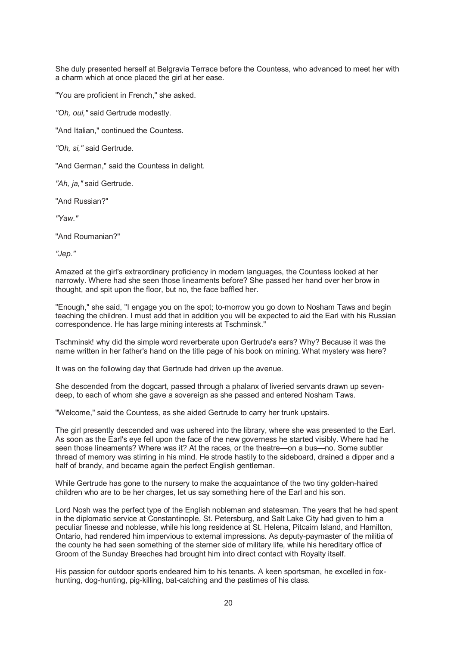She duly presented herself at Belgravia Terrace before the Countess, who advanced to meet her with a charm which at once placed the girl at her ease.

"You are proficient in French," she asked.

*"Oh, oui,"* said Gertrude modestly.

"And Italian," continued the Countess.

*"Oh, si,"* said Gertrude.

"And German," said the Countess in delight.

*"Ah, ja,"* said Gertrude.

"And Russian?"

*"Yaw."*

"And Roumanian?"

*"Jep."*

Amazed at the girl's extraordinary proficiency in modern languages, the Countess looked at her narrowly. Where had she seen those lineaments before? She passed her hand over her brow in thought, and spit upon the floor, but no, the face baffled her.

"Enough," she said, "I engage you on the spot; to-morrow you go down to Nosham Taws and begin teaching the children. I must add that in addition you will be expected to aid the Earl with his Russian correspondence. He has large mining interests at Tschminsk."

Tschminsk! why did the simple word reverberate upon Gertrude's ears? Why? Because it was the name written in her father's hand on the title page of his book on mining. What mystery was here?

It was on the following day that Gertrude had driven up the avenue.

She descended from the dogcart, passed through a phalanx of liveried servants drawn up sevendeep, to each of whom she gave a sovereign as she passed and entered Nosham Taws.

"Welcome," said the Countess, as she aided Gertrude to carry her trunk upstairs.

The girl presently descended and was ushered into the library, where she was presented to the Earl. As soon as the Earl's eye fell upon the face of the new governess he started visibly. Where had he seen those lineaments? Where was it? At the races, or the theatre—on a bus—no. Some subtler thread of memory was stirring in his mind. He strode hastily to the sideboard, drained a dipper and a half of brandy, and became again the perfect English gentleman.

While Gertrude has gone to the nursery to make the acquaintance of the two tiny golden-haired children who are to be her charges, let us say something here of the Earl and his son.

Lord Nosh was the perfect type of the English nobleman and statesman. The years that he had spent in the diplomatic service at Constantinople, St. Petersburg, and Salt Lake City had given to him a peculiar finesse and noblesse, while his long residence at St. Helena, Pitcairn Island, and Hamilton, Ontario, had rendered him impervious to external impressions. As deputy-paymaster of the militia of the county he had seen something of the sterner side of military life, while his hereditary office of Groom of the Sunday Breeches had brought him into direct contact with Royalty itself.

His passion for outdoor sports endeared him to his tenants. A keen sportsman, he excelled in foxhunting, dog-hunting, pig-killing, bat-catching and the pastimes of his class.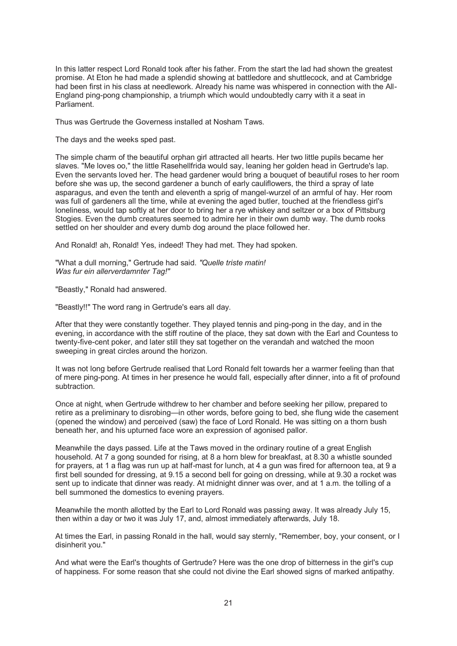In this latter respect Lord Ronald took after his father. From the start the lad had shown the greatest promise. At Eton he had made a splendid showing at battledore and shuttlecock, and at Cambridge had been first in his class at needlework. Already his name was whispered in connection with the All-England ping-pong championship, a triumph which would undoubtedly carry with it a seat in Parliament.

Thus was Gertrude the Governess installed at Nosham Taws.

The days and the weeks sped past.

The simple charm of the beautiful orphan girl attracted all hearts. Her two little pupils became her slaves. "Me loves oo," the little Rasehellfrida would say, leaning her golden head in Gertrude's lap. Even the servants loved her. The head gardener would bring a bouquet of beautiful roses to her room before she was up, the second gardener a bunch of early cauliflowers, the third a spray of late asparagus, and even the tenth and eleventh a sprig of mangel-wurzel of an armful of hay. Her room was full of gardeners all the time, while at evening the aged butler, touched at the friendless girl's loneliness, would tap softly at her door to bring her a rye whiskey and seltzer or a box of Pittsburg Stogies. Even the dumb creatures seemed to admire her in their own dumb way. The dumb rooks settled on her shoulder and every dumb dog around the place followed her.

And Ronald! ah, Ronald! Yes, indeed! They had met. They had spoken.

"What a dull morning," Gertrude had said. *"Quelle triste matin! Was fur ein allerverdamnter Tag!"*

"Beastly," Ronald had answered.

"Beastly!!" The word rang in Gertrude's ears all day.

After that they were constantly together. They played tennis and ping-pong in the day, and in the evening, in accordance with the stiff routine of the place, they sat down with the Earl and Countess to twenty-five-cent poker, and later still they sat together on the verandah and watched the moon sweeping in great circles around the horizon.

It was not long before Gertrude realised that Lord Ronald felt towards her a warmer feeling than that of mere ping-pong. At times in her presence he would fall, especially after dinner, into a fit of profound subtraction.

Once at night, when Gertrude withdrew to her chamber and before seeking her pillow, prepared to retire as a preliminary to disrobing—in other words, before going to bed, she flung wide the casement (opened the window) and perceived (saw) the face of Lord Ronald. He was sitting on a thorn bush beneath her, and his upturned face wore an expression of agonised pallor.

Meanwhile the days passed. Life at the Taws moved in the ordinary routine of a great English household. At 7 a gong sounded for rising, at 8 a horn blew for breakfast, at 8.30 a whistle sounded for prayers, at 1 a flag was run up at half-mast for lunch, at 4 a gun was fired for afternoon tea, at 9 a first bell sounded for dressing, at 9.15 a second bell for going on dressing, while at 9.30 a rocket was sent up to indicate that dinner was ready. At midnight dinner was over, and at 1 a.m. the tolling of a bell summoned the domestics to evening prayers.

Meanwhile the month allotted by the Earl to Lord Ronald was passing away. It was already July 15, then within a day or two it was July 17, and, almost immediately afterwards, July 18.

At times the Earl, in passing Ronald in the hall, would say sternly, "Remember, boy, your consent, or I disinherit you."

And what were the Earl's thoughts of Gertrude? Here was the one drop of bitterness in the girl's cup of happiness. For some reason that she could not divine the Earl showed signs of marked antipathy.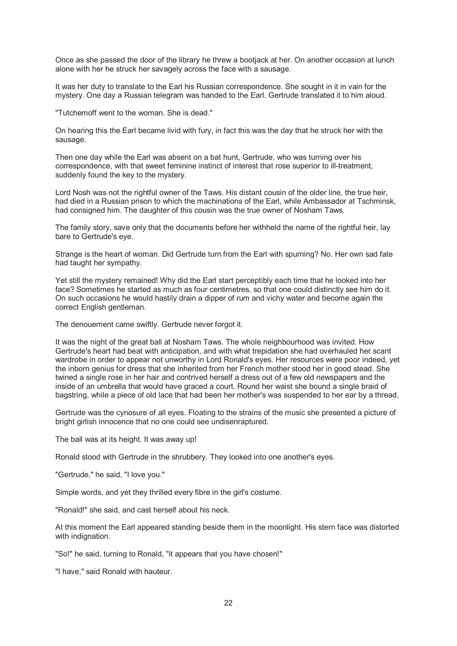Once as she passed the door of the library he threw a bootjack at her. On another occasion at lunch alone with her he struck her savagely across the face with a sausage.

It was her duty to translate to the Earl his Russian correspondence. She sought in it in vain for the mystery. One day a Russian telegram was handed to the Earl. Gertrude translated it to him aloud.

"Tutchemoff went to the woman. She is dead."

On hearing this the Earl became livid with fury, in fact this was the day that he struck her with the sausage.

Then one day while the Earl was absent on a bat hunt, Gertrude, who was turning over his correspondence, with that sweet feminine instinct of interest that rose superior to ill-treatment, suddenly found the key to the mystery.

Lord Nosh was not the rightful owner of the Taws. His distant cousin of the older line, the true heir, had died in a Russian prison to which the machinations of the Earl, while Ambassador at Tschminsk, had consigned him. The daughter of this cousin was the true owner of Nosham Taws.

The family story, save only that the documents before her withheld the name of the rightful heir, lay bare to Gertrude's eye.

Strange is the heart of woman. Did Gertrude turn from the Earl with spurning? No. Her own sad fate had taught her sympathy.

Yet still the mystery remained! Why did the Earl start perceptibly each time that he looked into her face? Sometimes he started as much as four centimetres, so that one could distinctly see him do it. On such occasions he would hastily drain a dipper of rum and vichy water and become again the correct English gentleman.

The denouement came swiftly. Gertrude never forgot it.

It was the night of the great ball at Nosham Taws. The whole neighbourhood was invited. How Gertrude's heart had beat with anticipation, and with what trepidation she had overhauled her scant wardrobe in order to appear not unworthy in Lord Ronald's eyes. Her resources were poor indeed, yet the inborn genius for dress that she inherited from her French mother stood her in good stead. She twined a single rose in her hair and contrived herself a dress out of a few old newspapers and the inside of an umbrella that would have graced a court. Round her waist she bound a single braid of bagstring, while a piece of old lace that had been her mother's was suspended to her ear by a thread.

Gertrude was the cynosure of all eyes. Floating to the strains of the music she presented a picture of bright girlish innocence that no one could see undisenraptured.

The ball was at its height. It was away up!

Ronald stood with Gertrude in the shrubbery. They looked into one another's eyes.

"Gertrude," he said, "I love you."

Simple words, and yet they thrilled every fibre in the girl's costume.

"Ronald!" she said, and cast herself about his neck.

At this moment the Earl appeared standing beside them in the moonlight. His stern face was distorted with indignation.

"So!" he said, turning to Ronald, "it appears that you have chosen!"

"I have," said Ronald with hauteur.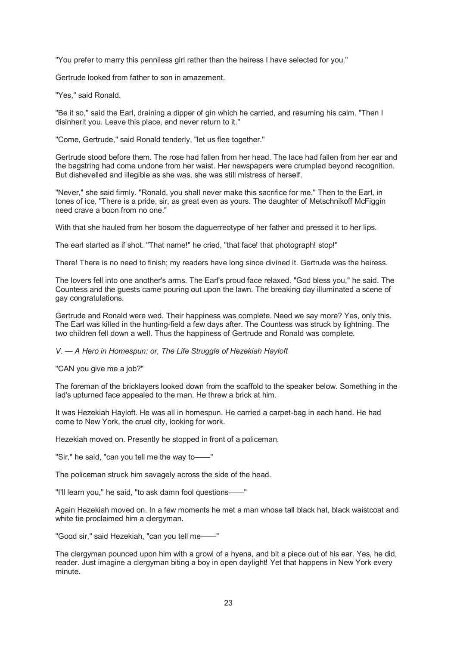"You prefer to marry this penniless girl rather than the heiress I have selected for you."

Gertrude looked from father to son in amazement.

"Yes," said Ronald.

"Be it so," said the Earl, draining a dipper of gin which he carried, and resuming his calm. "Then I disinherit you. Leave this place, and never return to it."

"Come, Gertrude," said Ronald tenderly, "let us flee together."

Gertrude stood before them. The rose had fallen from her head. The lace had fallen from her ear and the bagstring had come undone from her waist. Her newspapers were crumpled beyond recognition. But dishevelled and illegible as she was, she was still mistress of herself.

"Never," she said firmly. "Ronald, you shall never make this sacrifice for me." Then to the Earl, in tones of ice, "There is a pride, sir, as great even as yours. The daughter of Metschnikoff McFiggin need crave a boon from no one."

With that she hauled from her bosom the daguerreotype of her father and pressed it to her lips.

The earl started as if shot. "That name!" he cried, "that face! that photograph! stop!"

There! There is no need to finish; my readers have long since divined it. Gertrude was the heiress.

The lovers fell into one another's arms. The Earl's proud face relaxed. "God bless you," he said. The Countess and the guests came pouring out upon the lawn. The breaking day illuminated a scene of gay congratulations.

Gertrude and Ronald were wed. Their happiness was complete. Need we say more? Yes, only this. The Earl was killed in the hunting-field a few days after. The Countess was struck by lightning. The two children fell down a well. Thus the happiness of Gertrude and Ronald was complete.

#### *V. — A Hero in Homespun: or, The Life Struggle of Hezekiah Hayloft*

"CAN you give me a job?"

The foreman of the bricklayers looked down from the scaffold to the speaker below. Something in the lad's upturned face appealed to the man. He threw a brick at him.

It was Hezekiah Hayloft. He was all in homespun. He carried a carpet-bag in each hand. He had come to New York, the cruel city, looking for work.

Hezekiah moved on. Presently he stopped in front of a policeman.

"Sir," he said, "can you tell me the way to——"

The policeman struck him savagely across the side of the head.

"I'll learn you," he said, "to ask damn fool questions——"

Again Hezekiah moved on. In a few moments he met a man whose tall black hat, black waistcoat and white tie proclaimed him a clergyman.

"Good sir," said Hezekiah, "can you tell me——"

The clergyman pounced upon him with a growl of a hyena, and bit a piece out of his ear. Yes, he did, reader. Just imagine a clergyman biting a boy in open daylight! Yet that happens in New York every minute.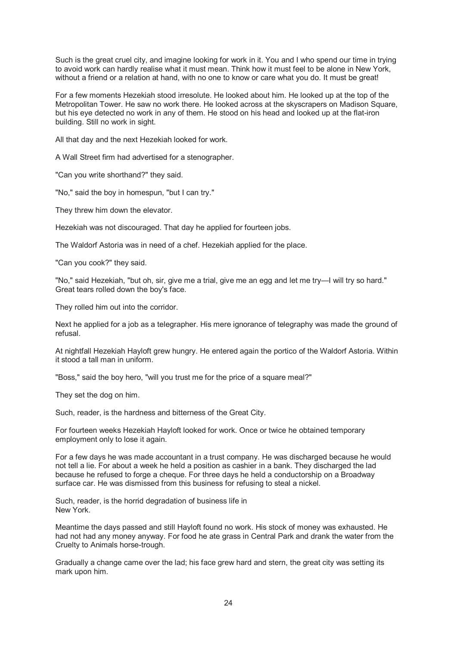Such is the great cruel city, and imagine looking for work in it. You and I who spend our time in trying to avoid work can hardly realise what it must mean. Think how it must feel to be alone in New York, without a friend or a relation at hand, with no one to know or care what you do. It must be great!

For a few moments Hezekiah stood irresolute. He looked about him. He looked up at the top of the Metropolitan Tower. He saw no work there. He looked across at the skyscrapers on Madison Square, but his eye detected no work in any of them. He stood on his head and looked up at the flat-iron building. Still no work in sight.

All that day and the next Hezekiah looked for work.

A Wall Street firm had advertised for a stenographer.

"Can you write shorthand?" they said.

"No," said the boy in homespun, "but I can try."

They threw him down the elevator.

Hezekiah was not discouraged. That day he applied for fourteen jobs.

The Waldorf Astoria was in need of a chef. Hezekiah applied for the place.

"Can you cook?" they said.

"No," said Hezekiah, "but oh, sir, give me a trial, give me an egg and let me try—I will try so hard." Great tears rolled down the boy's face.

They rolled him out into the corridor.

Next he applied for a job as a telegrapher. His mere ignorance of telegraphy was made the ground of refusal.

At nightfall Hezekiah Hayloft grew hungry. He entered again the portico of the Waldorf Astoria. Within it stood a tall man in uniform.

"Boss," said the boy hero, "will you trust me for the price of a square meal?"

They set the dog on him.

Such, reader, is the hardness and bitterness of the Great City.

For fourteen weeks Hezekiah Hayloft looked for work. Once or twice he obtained temporary employment only to lose it again.

For a few days he was made accountant in a trust company. He was discharged because he would not tell a lie. For about a week he held a position as cashier in a bank. They discharged the lad because he refused to forge a cheque. For three days he held a conductorship on a Broadway surface car. He was dismissed from this business for refusing to steal a nickel.

Such, reader, is the horrid degradation of business life in New York.

Meantime the days passed and still Hayloft found no work. His stock of money was exhausted. He had not had any money anyway. For food he ate grass in Central Park and drank the water from the Cruelty to Animals horse-trough.

Gradually a change came over the lad; his face grew hard and stern, the great city was setting its mark upon him.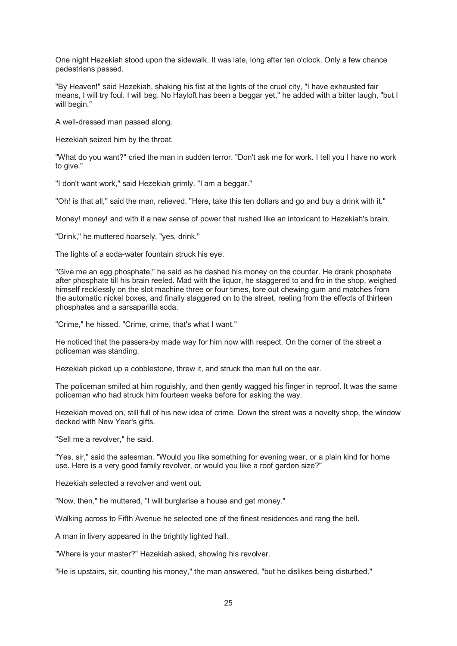One night Hezekiah stood upon the sidewalk. It was late, long after ten o'clock. Only a few chance pedestrians passed.

"By Heaven!" said Hezekiah, shaking his fist at the lights of the cruel city, "I have exhausted fair means, I will try foul. I will beg. No Hayloft has been a beggar yet," he added with a bitter laugh, "but I will begin."

A well-dressed man passed along.

Hezekiah seized him by the throat.

"What do you want?" cried the man in sudden terror. "Don't ask me for work. I tell you I have no work to give."

"I don't want work," said Hezekiah grimly. "I am a beggar."

"Oh! is that all," said the man, relieved. "Here, take this ten dollars and go and buy a drink with it."

Money! money! and with it a new sense of power that rushed like an intoxicant to Hezekiah's brain.

"Drink," he muttered hoarsely, "yes, drink."

The lights of a soda-water fountain struck his eye.

"Give me an egg phosphate," he said as he dashed his money on the counter. He drank phosphate after phosphate till his brain reeled. Mad with the liquor, he staggered to and fro in the shop, weighed himself recklessly on the slot machine three or four times, tore out chewing gum and matches from the automatic nickel boxes, and finally staggered on to the street, reeling from the effects of thirteen phosphates and a sarsaparilla soda.

"Crime," he hissed. "Crime, crime, that's what I want."

He noticed that the passers-by made way for him now with respect. On the corner of the street a policeman was standing.

Hezekiah picked up a cobblestone, threw it, and struck the man full on the ear.

The policeman smiled at him roguishly, and then gently wagged his finger in reproof. It was the same policeman who had struck him fourteen weeks before for asking the way.

Hezekiah moved on, still full of his new idea of crime. Down the street was a novelty shop, the window decked with New Year's gifts.

"Sell me a revolver," he said.

"Yes, sir," said the salesman. "Would you like something for evening wear, or a plain kind for home use. Here is a very good family revolver, or would you like a roof garden size?"

Hezekiah selected a revolver and went out.

"Now, then," he muttered, "I will burglarise a house and get money."

Walking across to Fifth Avenue he selected one of the finest residences and rang the bell.

A man in livery appeared in the brightly lighted hall.

"Where is your master?" Hezekiah asked, showing his revolver.

"He is upstairs, sir, counting his money," the man answered, "but he dislikes being disturbed."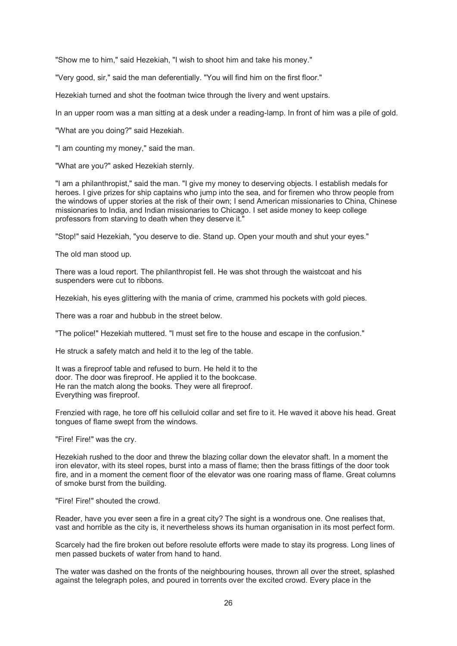"Show me to him," said Hezekiah, "I wish to shoot him and take his money."

"Very good, sir," said the man deferentially. "You will find him on the first floor."

Hezekiah turned and shot the footman twice through the livery and went upstairs.

In an upper room was a man sitting at a desk under a reading-lamp. In front of him was a pile of gold.

"What are you doing?" said Hezekiah.

"I am counting my money," said the man.

"What are you?" asked Hezekiah sternly.

"I am a philanthropist," said the man. "I give my money to deserving objects. I establish medals for heroes. I give prizes for ship captains who jump into the sea, and for firemen who throw people from the windows of upper stories at the risk of their own; I send American missionaries to China, Chinese missionaries to India, and Indian missionaries to Chicago. I set aside money to keep college professors from starving to death when they deserve it."

"Stop!" said Hezekiah, "you deserve to die. Stand up. Open your mouth and shut your eyes."

The old man stood up.

There was a loud report. The philanthropist fell. He was shot through the waistcoat and his suspenders were cut to ribbons.

Hezekiah, his eyes glittering with the mania of crime, crammed his pockets with gold pieces.

There was a roar and hubbub in the street below.

"The police!" Hezekiah muttered. "I must set fire to the house and escape in the confusion."

He struck a safety match and held it to the leg of the table.

It was a fireproof table and refused to burn. He held it to the door. The door was fireproof. He applied it to the bookcase. He ran the match along the books. They were all fireproof. Everything was fireproof.

Frenzied with rage, he tore off his celluloid collar and set fire to it. He waved it above his head. Great tongues of flame swept from the windows.

"Fire! Fire!" was the cry.

Hezekiah rushed to the door and threw the blazing collar down the elevator shaft. In a moment the iron elevator, with its steel ropes, burst into a mass of flame; then the brass fittings of the door took fire, and in a moment the cement floor of the elevator was one roaring mass of flame. Great columns of smoke burst from the building.

"Fire! Fire!" shouted the crowd.

Reader, have you ever seen a fire in a great city? The sight is a wondrous one. One realises that, vast and horrible as the city is, it nevertheless shows its human organisation in its most perfect form.

Scarcely had the fire broken out before resolute efforts were made to stay its progress. Long lines of men passed buckets of water from hand to hand.

The water was dashed on the fronts of the neighbouring houses, thrown all over the street, splashed against the telegraph poles, and poured in torrents over the excited crowd. Every place in the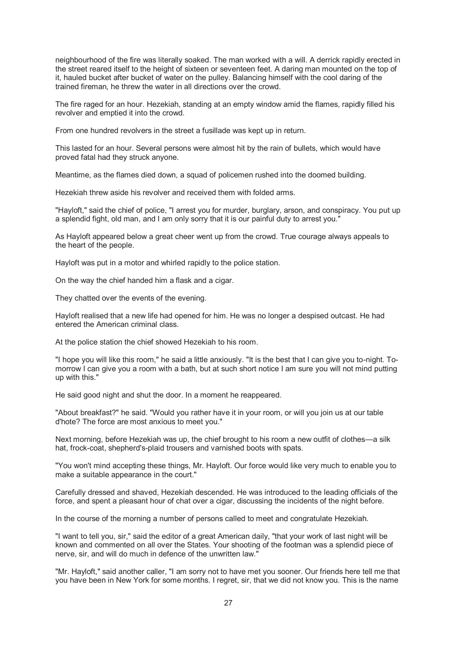neighbourhood of the fire was literally soaked. The man worked with a will. A derrick rapidly erected in the street reared itself to the height of sixteen or seventeen feet. A daring man mounted on the top of it, hauled bucket after bucket of water on the pulley. Balancing himself with the cool daring of the trained fireman, he threw the water in all directions over the crowd.

The fire raged for an hour. Hezekiah, standing at an empty window amid the flames, rapidly filled his revolver and emptied it into the crowd.

From one hundred revolvers in the street a fusillade was kept up in return.

This lasted for an hour. Several persons were almost hit by the rain of bullets, which would have proved fatal had they struck anyone.

Meantime, as the flames died down, a squad of policemen rushed into the doomed building.

Hezekiah threw aside his revolver and received them with folded arms.

"Hayloft," said the chief of police, "I arrest you for murder, burglary, arson, and conspiracy. You put up a splendid fight, old man, and I am only sorry that it is our painful duty to arrest you."

As Hayloft appeared below a great cheer went up from the crowd. True courage always appeals to the heart of the people.

Hayloft was put in a motor and whirled rapidly to the police station.

On the way the chief handed him a flask and a cigar.

They chatted over the events of the evening.

Hayloft realised that a new life had opened for him. He was no longer a despised outcast. He had entered the American criminal class.

At the police station the chief showed Hezekiah to his room.

"I hope you will like this room," he said a little anxiously. "It is the best that I can give you to-night. Tomorrow I can give you a room with a bath, but at such short notice I am sure you will not mind putting up with this."

He said good night and shut the door. In a moment he reappeared.

"About breakfast?" he said. "Would you rather have it in your room, or will you join us at our table d'hote? The force are most anxious to meet you."

Next morning, before Hezekiah was up, the chief brought to his room a new outfit of clothes—a silk hat, frock-coat, shepherd's-plaid trousers and varnished boots with spats.

"You won't mind accepting these things, Mr. Hayloft. Our force would like very much to enable you to make a suitable appearance in the court."

Carefully dressed and shaved, Hezekiah descended. He was introduced to the leading officials of the force, and spent a pleasant hour of chat over a cigar, discussing the incidents of the night before.

In the course of the morning a number of persons called to meet and congratulate Hezekiah.

"I want to tell you, sir," said the editor of a great American daily, "that your work of last night will be known and commented on all over the States. Your shooting of the footman was a splendid piece of nerve, sir, and will do much in defence of the unwritten law."

"Mr. Hayloft," said another caller, "I am sorry not to have met you sooner. Our friends here tell me that you have been in New York for some months. I regret, sir, that we did not know you. This is the name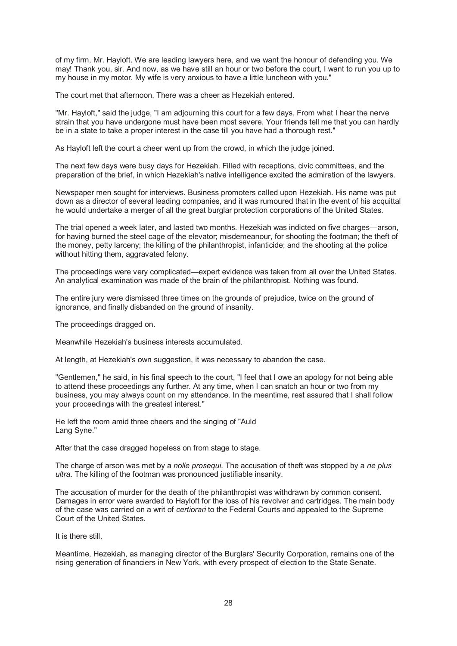of my firm, Mr. Hayloft. We are leading lawyers here, and we want the honour of defending you. We may! Thank you, sir. And now, as we have still an hour or two before the court, I want to run you up to my house in my motor. My wife is very anxious to have a little luncheon with you."

The court met that afternoon. There was a cheer as Hezekiah entered.

"Mr. Hayloft," said the judge, "I am adjourning this court for a few days. From what I hear the nerve strain that you have undergone must have been most severe. Your friends tell me that you can hardly be in a state to take a proper interest in the case till you have had a thorough rest."

As Hayloft left the court a cheer went up from the crowd, in which the judge joined.

The next few days were busy days for Hezekiah. Filled with receptions, civic committees, and the preparation of the brief, in which Hezekiah's native intelligence excited the admiration of the lawyers.

Newspaper men sought for interviews. Business promoters called upon Hezekiah. His name was put down as a director of several leading companies, and it was rumoured that in the event of his acquittal he would undertake a merger of all the great burglar protection corporations of the United States.

The trial opened a week later, and lasted two months. Hezekiah was indicted on five charges—arson, for having burned the steel cage of the elevator; misdemeanour, for shooting the footman; the theft of the money, petty larceny; the killing of the philanthropist, infanticide; and the shooting at the police without hitting them, aggravated felony.

The proceedings were very complicated—expert evidence was taken from all over the United States. An analytical examination was made of the brain of the philanthropist. Nothing was found.

The entire jury were dismissed three times on the grounds of prejudice, twice on the ground of ignorance, and finally disbanded on the ground of insanity.

The proceedings dragged on.

Meanwhile Hezekiah's business interests accumulated.

At length, at Hezekiah's own suggestion, it was necessary to abandon the case.

"Gentlemen," he said, in his final speech to the court, "I feel that I owe an apology for not being able to attend these proceedings any further. At any time, when I can snatch an hour or two from my business, you may always count on my attendance. In the meantime, rest assured that I shall follow your proceedings with the greatest interest."

He left the room amid three cheers and the singing of "Auld Lang Syne."

After that the case dragged hopeless on from stage to stage.

The charge of arson was met by a *nolle prosequi*. The accusation of theft was stopped by a *ne plus ultra*. The killing of the footman was pronounced justifiable insanity.

The accusation of murder for the death of the philanthropist was withdrawn by common consent. Damages in error were awarded to Hayloft for the loss of his revolver and cartridges. The main body of the case was carried on a writ of *certiorari* to the Federal Courts and appealed to the Supreme Court of the United States.

It is there still.

Meantime, Hezekiah, as managing director of the Burglars' Security Corporation, remains one of the rising generation of financiers in New York, with every prospect of election to the State Senate.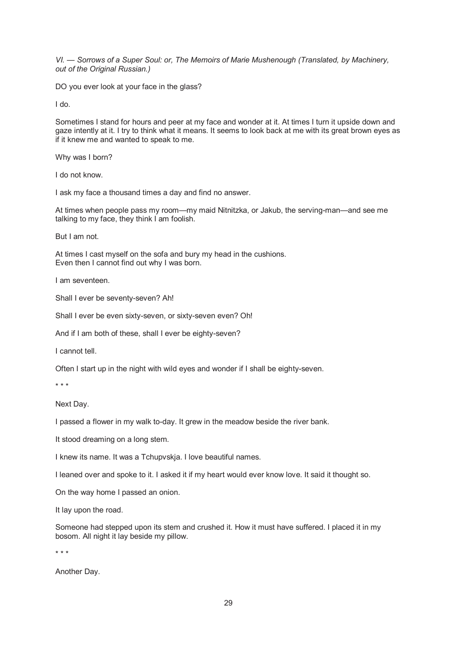*VI. — Sorrows of a Super Soul: or, The Memoirs of Marie Mushenough (Translated, by Machinery, out of the Original Russian.)*

DO you ever look at your face in the glass?

I do.

Sometimes I stand for hours and peer at my face and wonder at it. At times I turn it upside down and gaze intently at it. I try to think what it means. It seems to look back at me with its great brown eyes as if it knew me and wanted to speak to me.

Why was I born?

I do not know.

I ask my face a thousand times a day and find no answer.

At times when people pass my room—my maid Nitnitzka, or Jakub, the serving-man—and see me talking to my face, they think I am foolish.

But I am not.

At times I cast myself on the sofa and bury my head in the cushions. Even then I cannot find out why I was born.

I am seventeen.

Shall I ever be seventy-seven? Ah!

Shall I ever be even sixty-seven, or sixty-seven even? Oh!

And if I am both of these, shall I ever be eighty-seven?

I cannot tell.

Often I start up in the night with wild eyes and wonder if I shall be eighty-seven.

\* \* \*

Next Day.

I passed a flower in my walk to-day. It grew in the meadow beside the river bank.

It stood dreaming on a long stem.

I knew its name. It was a Tchupvskja. I love beautiful names.

I leaned over and spoke to it. I asked it if my heart would ever know love. It said it thought so.

On the way home I passed an onion.

It lay upon the road.

Someone had stepped upon its stem and crushed it. How it must have suffered. I placed it in my bosom. All night it lay beside my pillow.

\* \* \*

Another Day.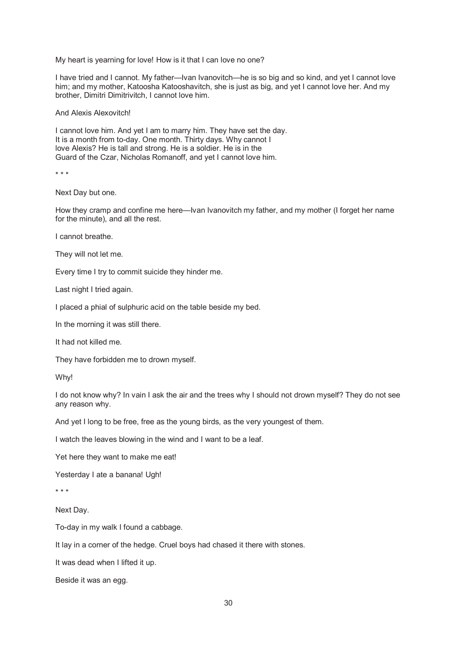My heart is yearning for love! How is it that I can love no one?

I have tried and I cannot. My father—Ivan Ivanovitch—he is so big and so kind, and yet I cannot love him; and my mother, Katoosha Katooshavitch, she is just as big, and yet I cannot love her. And my brother, Dimitri Dimitrivitch, I cannot love him.

And Alexis Alexovitch!

I cannot love him. And yet I am to marry him. They have set the day. It is a month from to-day. One month. Thirty days. Why cannot I love Alexis? He is tall and strong. He is a soldier. He is in the Guard of the Czar, Nicholas Romanoff, and yet I cannot love him.

\* \* \*

Next Day but one.

How they cramp and confine me here—Ivan Ivanovitch my father, and my mother (I forget her name for the minute), and all the rest.

I cannot breathe.

They will not let me.

Every time I try to commit suicide they hinder me.

Last night I tried again.

I placed a phial of sulphuric acid on the table beside my bed.

In the morning it was still there.

It had not killed me.

They have forbidden me to drown myself.

Why!

I do not know why? In vain I ask the air and the trees why I should not drown myself? They do not see any reason why.

And yet I long to be free, free as the young birds, as the very youngest of them.

I watch the leaves blowing in the wind and I want to be a leaf.

Yet here they want to make me eat!

Yesterday I ate a banana! Ugh!

\* \* \*

Next Day.

To-day in my walk I found a cabbage.

It lay in a corner of the hedge. Cruel boys had chased it there with stones.

It was dead when I lifted it up.

Beside it was an egg.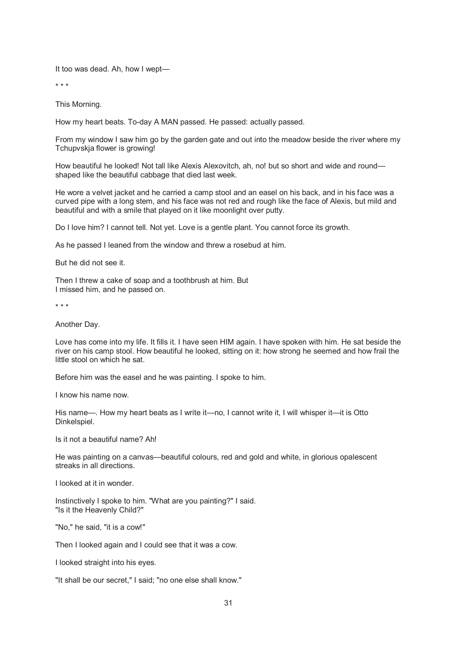It too was dead. Ah, how I wept—

\* \* \*

This Morning.

How my heart beats. To-day A MAN passed. He passed: actually passed.

From my window I saw him go by the garden gate and out into the meadow beside the river where my Tchupvskja flower is growing!

How beautiful he looked! Not tall like Alexis Alexovitch, ah, no! but so short and wide and round shaped like the beautiful cabbage that died last week.

He wore a velvet jacket and he carried a camp stool and an easel on his back, and in his face was a curved pipe with a long stem, and his face was not red and rough like the face of Alexis, but mild and beautiful and with a smile that played on it like moonlight over putty.

Do I love him? I cannot tell. Not yet. Love is a gentle plant. You cannot force its growth.

As he passed I leaned from the window and threw a rosebud at him.

But he did not see it.

Then I threw a cake of soap and a toothbrush at him. But I missed him, and he passed on.

\* \* \*

Another Day.

Love has come into my life. It fills it. I have seen HIM again. I have spoken with him. He sat beside the river on his camp stool. How beautiful he looked, sitting on it: how strong he seemed and how frail the little stool on which he sat.

Before him was the easel and he was painting. I spoke to him.

I know his name now.

His name—. How my heart beats as I write it—no, I cannot write it, I will whisper it—it is Otto Dinkelspiel.

Is it not a beautiful name? Ah!

He was painting on a canvas—beautiful colours, red and gold and white, in glorious opalescent streaks in all directions.

I looked at it in wonder.

Instinctively I spoke to him. "What are you painting?" I said. "Is it the Heavenly Child?"

"No," he said, "it is a cow!"

Then I looked again and I could see that it was a cow.

I looked straight into his eyes.

"It shall be our secret," I said; "no one else shall know."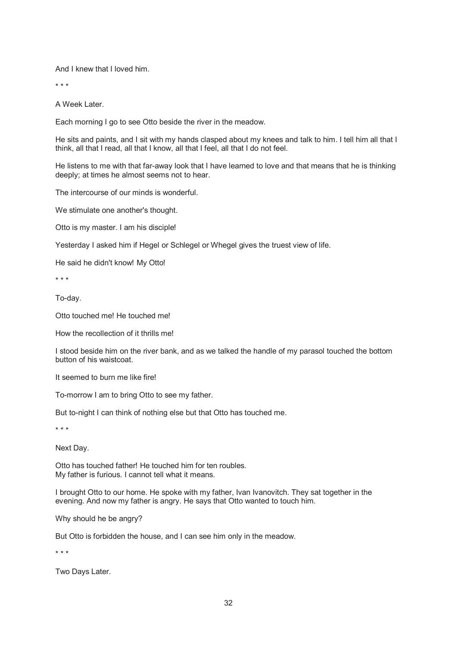And I knew that I loved him.

\* \* \*

A Week Later.

Each morning I go to see Otto beside the river in the meadow.

He sits and paints, and I sit with my hands clasped about my knees and talk to him. I tell him all that I think, all that I read, all that I know, all that I feel, all that I do not feel.

He listens to me with that far-away look that I have learned to love and that means that he is thinking deeply; at times he almost seems not to hear.

The intercourse of our minds is wonderful.

We stimulate one another's thought.

Otto is my master. I am his disciple!

Yesterday I asked him if Hegel or Schlegel or Whegel gives the truest view of life.

He said he didn't know! My Otto!

\* \* \*

To-day.

Otto touched me! He touched me!

How the recollection of it thrills me!

I stood beside him on the river bank, and as we talked the handle of my parasol touched the bottom button of his waistcoat.

It seemed to burn me like fire!

To-morrow I am to bring Otto to see my father.

But to-night I can think of nothing else but that Otto has touched me.

\* \* \*

Next Day.

Otto has touched father! He touched him for ten roubles. My father is furious. I cannot tell what it means.

I brought Otto to our home. He spoke with my father, Ivan Ivanovitch. They sat together in the evening. And now my father is angry. He says that Otto wanted to touch him.

Why should he be angry?

But Otto is forbidden the house, and I can see him only in the meadow.

\* \* \*

Two Days Later.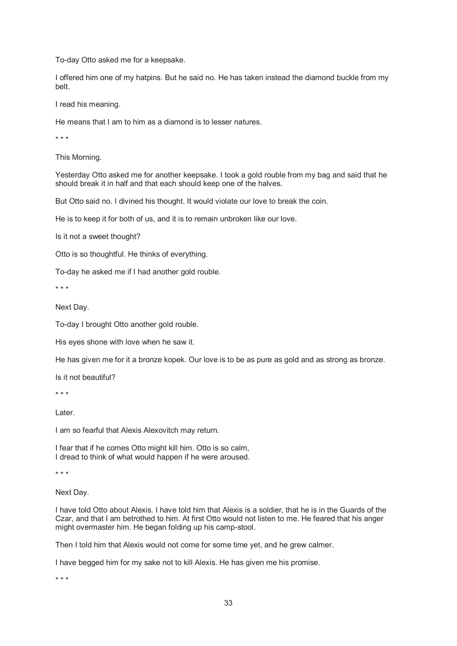To-day Otto asked me for a keepsake.

I offered him one of my hatpins. But he said no. He has taken instead the diamond buckle from my belt.

I read his meaning.

He means that I am to him as a diamond is to lesser natures.

\* \* \*

This Morning.

Yesterday Otto asked me for another keepsake. I took a gold rouble from my bag and said that he should break it in half and that each should keep one of the halves.

But Otto said no. I divined his thought. It would violate our love to break the coin.

He is to keep it for both of us, and it is to remain unbroken like our love.

Is it not a sweet thought?

Otto is so thoughtful. He thinks of everything.

To-day he asked me if I had another gold rouble.

\* \* \*

Next Day.

To-day I brought Otto another gold rouble.

His eyes shone with love when he saw it.

He has given me for it a bronze kopek. Our love is to be as pure as gold and as strong as bronze.

Is it not beautiful?

\* \* \*

Later.

I am so fearful that Alexis Alexovitch may return.

I fear that if he comes Otto might kill him. Otto is so calm, I dread to think of what would happen if he were aroused.

\* \* \*

Next Day.

I have told Otto about Alexis. I have told him that Alexis is a soldier, that he is in the Guards of the Czar, and that I am betrothed to him. At first Otto would not listen to me. He feared that his anger might overmaster him. He began folding up his camp-stool.

Then I told him that Alexis would not come for some time yet, and he grew calmer.

I have begged him for my sake not to kill Alexis. He has given me his promise.

\* \* \*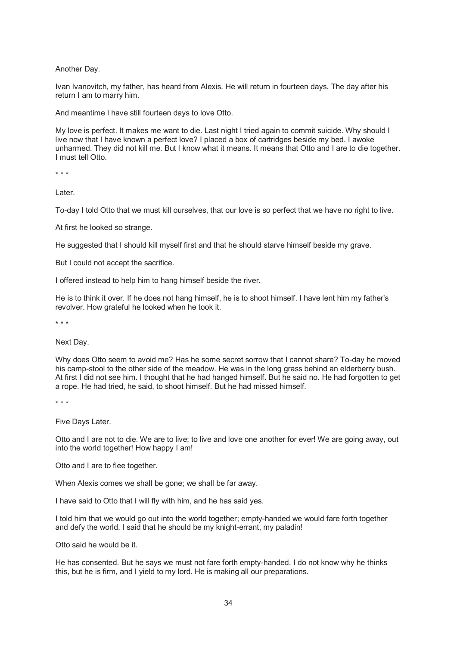Another Day.

Ivan Ivanovitch, my father, has heard from Alexis. He will return in fourteen days. The day after his return I am to marry him.

And meantime I have still fourteen days to love Otto.

My love is perfect. It makes me want to die. Last night I tried again to commit suicide. Why should I live now that I have known a perfect love? I placed a box of cartridges beside my bed. I awoke unharmed. They did not kill me. But I know what it means. It means that Otto and I are to die together. I must tell Otto.

\* \* \*

Later.

To-day I told Otto that we must kill ourselves, that our love is so perfect that we have no right to live.

At first he looked so strange.

He suggested that I should kill myself first and that he should starve himself beside my grave.

But I could not accept the sacrifice.

I offered instead to help him to hang himself beside the river.

He is to think it over. If he does not hang himself, he is to shoot himself. I have lent him my father's revolver. How grateful he looked when he took it.

\* \* \*

Next Day.

Why does Otto seem to avoid me? Has he some secret sorrow that I cannot share? To-day he moved his camp-stool to the other side of the meadow. He was in the long grass behind an elderberry bush. At first I did not see him. I thought that he had hanged himself. But he said no. He had forgotten to get a rope. He had tried, he said, to shoot himself. But he had missed himself.

\* \* \*

Five Days Later.

Otto and I are not to die. We are to live; to live and love one another for ever! We are going away, out into the world together! How happy I am!

Otto and I are to flee together.

When Alexis comes we shall be gone; we shall be far away.

I have said to Otto that I will fly with him, and he has said yes.

I told him that we would go out into the world together; empty-handed we would fare forth together and defy the world. I said that he should be my knight-errant, my paladin!

Otto said he would be it.

He has consented. But he says we must not fare forth empty-handed. I do not know why he thinks this, but he is firm, and I yield to my lord. He is making all our preparations.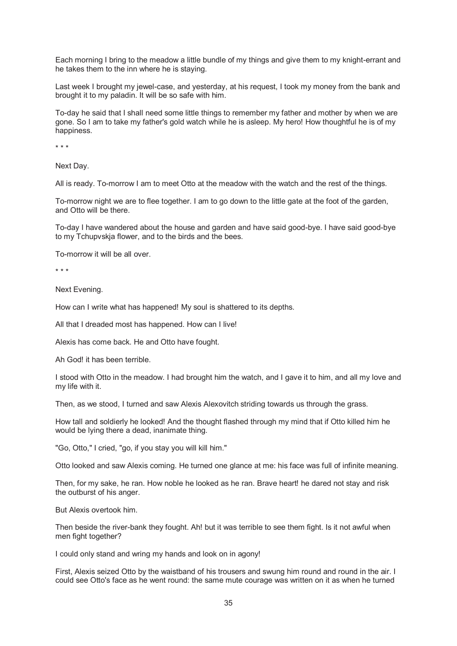Each morning I bring to the meadow a little bundle of my things and give them to my knight-errant and he takes them to the inn where he is staying.

Last week I brought my jewel-case, and yesterday, at his request, I took my money from the bank and brought it to my paladin. It will be so safe with him.

To-day he said that I shall need some little things to remember my father and mother by when we are gone. So I am to take my father's gold watch while he is asleep. My hero! How thoughtful he is of my happiness.

\* \* \*

Next Day.

All is ready. To-morrow I am to meet Otto at the meadow with the watch and the rest of the things.

To-morrow night we are to flee together. I am to go down to the little gate at the foot of the garden, and Otto will be there.

To-day I have wandered about the house and garden and have said good-bye. I have said good-bye to my Tchupvskja flower, and to the birds and the bees.

To-morrow it will be all over.

\* \* \*

Next Evening.

How can I write what has happened! My soul is shattered to its depths.

All that I dreaded most has happened. How can I live!

Alexis has come back. He and Otto have fought.

Ah God! it has been terrible.

I stood with Otto in the meadow. I had brought him the watch, and I gave it to him, and all my love and my life with it.

Then, as we stood, I turned and saw Alexis Alexovitch striding towards us through the grass.

How tall and soldierly he looked! And the thought flashed through my mind that if Otto killed him he would be lying there a dead, inanimate thing.

"Go, Otto," I cried, "go, if you stay you will kill him."

Otto looked and saw Alexis coming. He turned one glance at me: his face was full of infinite meaning.

Then, for my sake, he ran. How noble he looked as he ran. Brave heart! he dared not stay and risk the outburst of his anger.

But Alexis overtook him.

Then beside the river-bank they fought. Ah! but it was terrible to see them fight. Is it not awful when men fight together?

I could only stand and wring my hands and look on in agony!

First, Alexis seized Otto by the waistband of his trousers and swung him round and round in the air. I could see Otto's face as he went round: the same mute courage was written on it as when he turned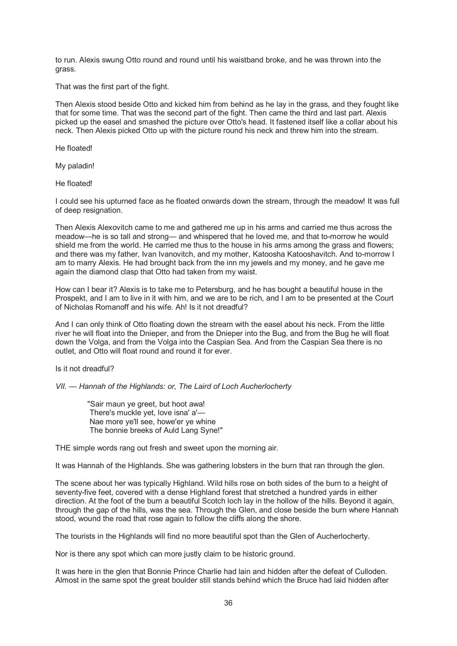to run. Alexis swung Otto round and round until his waistband broke, and he was thrown into the grass.

That was the first part of the fight.

Then Alexis stood beside Otto and kicked him from behind as he lay in the grass, and they fought like that for some time. That was the second part of the fight. Then came the third and last part. Alexis picked up the easel and smashed the picture over Otto's head. It fastened itself like a collar about his neck. Then Alexis picked Otto up with the picture round his neck and threw him into the stream.

He floated!

My paladin!

He floated!

I could see his upturned face as he floated onwards down the stream, through the meadow! It was full of deep resignation.

Then Alexis Alexovitch came to me and gathered me up in his arms and carried me thus across the meadow—he is so tall and strong— and whispered that he loved me, and that to-morrow he would shield me from the world. He carried me thus to the house in his arms among the grass and flowers; and there was my father, Ivan Ivanovitch, and my mother, Katoosha Katooshavitch. And to-morrow I am to marry Alexis. He had brought back from the inn my jewels and my money, and he gave me again the diamond clasp that Otto had taken from my waist.

How can I bear it? Alexis is to take me to Petersburg, and he has bought a beautiful house in the Prospekt, and I am to live in it with him, and we are to be rich, and I am to be presented at the Court of Nicholas Romanoff and his wife. Ah! Is it not dreadful?

And I can only think of Otto floating down the stream with the easel about his neck. From the little river he will float into the Dnieper, and from the Dnieper into the Bug, and from the Bug he will float down the Volga, and from the Volga into the Caspian Sea. And from the Caspian Sea there is no outlet, and Otto will float round and round it for ever.

Is it not dreadful?

*VII. — Hannah of the Highlands: or, The Laird of Loch Aucherlocherty*

 "Sair maun ye greet, but hoot awa! There's muckle yet, love isna' a'— Nae more ye'll see, howe'er ye whine The bonnie breeks of Auld Lang Syne!"

THE simple words rang out fresh and sweet upon the morning air.

It was Hannah of the Highlands. She was gathering lobsters in the burn that ran through the glen.

The scene about her was typically Highland. Wild hills rose on both sides of the burn to a height of seventy-five feet, covered with a dense Highland forest that stretched a hundred yards in either direction. At the foot of the burn a beautiful Scotch loch lay in the hollow of the hills. Beyond it again, through the gap of the hills, was the sea. Through the Glen, and close beside the burn where Hannah stood, wound the road that rose again to follow the cliffs along the shore.

The tourists in the Highlands will find no more beautiful spot than the Glen of Aucherlocherty.

Nor is there any spot which can more justly claim to be historic ground.

It was here in the glen that Bonnie Prince Charlie had lain and hidden after the defeat of Culloden. Almost in the same spot the great boulder still stands behind which the Bruce had laid hidden after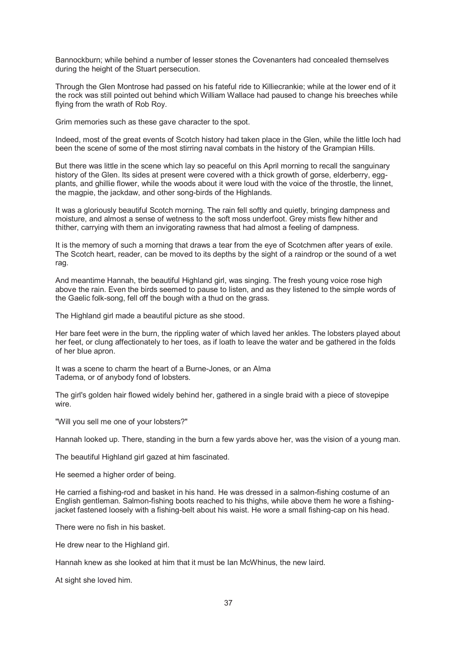Bannockburn; while behind a number of lesser stones the Covenanters had concealed themselves during the height of the Stuart persecution.

Through the Glen Montrose had passed on his fateful ride to Killiecrankie; while at the lower end of it the rock was still pointed out behind which William Wallace had paused to change his breeches while flying from the wrath of Rob Roy.

Grim memories such as these gave character to the spot.

Indeed, most of the great events of Scotch history had taken place in the Glen, while the little loch had been the scene of some of the most stirring naval combats in the history of the Grampian Hills.

But there was little in the scene which lay so peaceful on this April morning to recall the sanguinary history of the Glen. Its sides at present were covered with a thick growth of gorse, elderberry, eggplants, and ghillie flower, while the woods about it were loud with the voice of the throstle, the linnet, the magpie, the jackdaw, and other song-birds of the Highlands.

It was a gloriously beautiful Scotch morning. The rain fell softly and quietly, bringing dampness and moisture, and almost a sense of wetness to the soft moss underfoot. Grey mists flew hither and thither, carrying with them an invigorating rawness that had almost a feeling of dampness.

It is the memory of such a morning that draws a tear from the eye of Scotchmen after years of exile. The Scotch heart, reader, can be moved to its depths by the sight of a raindrop or the sound of a wet rag.

And meantime Hannah, the beautiful Highland girl, was singing. The fresh young voice rose high above the rain. Even the birds seemed to pause to listen, and as they listened to the simple words of the Gaelic folk-song, fell off the bough with a thud on the grass.

The Highland girl made a beautiful picture as she stood.

Her bare feet were in the burn, the rippling water of which laved her ankles. The lobsters played about her feet, or clung affectionately to her toes, as if loath to leave the water and be gathered in the folds of her blue apron.

It was a scene to charm the heart of a Burne-Jones, or an Alma Tadema, or of anybody fond of lobsters.

The girl's golden hair flowed widely behind her, gathered in a single braid with a piece of stovepipe wire.

"Will you sell me one of your lobsters?"

Hannah looked up. There, standing in the burn a few yards above her, was the vision of a young man.

The beautiful Highland girl gazed at him fascinated.

He seemed a higher order of being.

He carried a fishing-rod and basket in his hand. He was dressed in a salmon-fishing costume of an English gentleman. Salmon-fishing boots reached to his thighs, while above them he wore a fishingjacket fastened loosely with a fishing-belt about his waist. He wore a small fishing-cap on his head.

There were no fish in his basket.

He drew near to the Highland girl.

Hannah knew as she looked at him that it must be Ian McWhinus, the new laird.

At sight she loved him.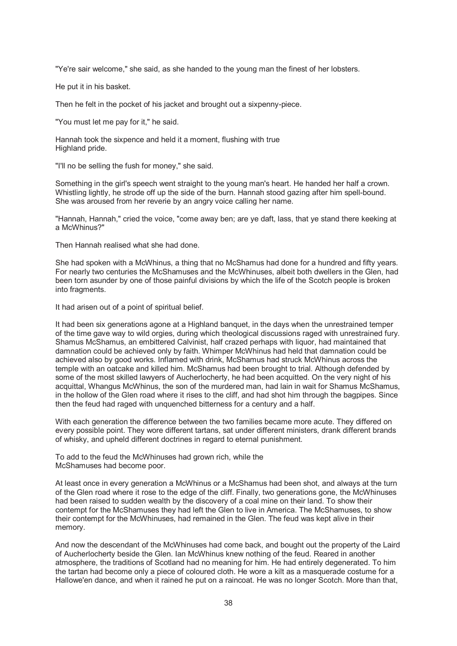"Ye're sair welcome," she said, as she handed to the young man the finest of her lobsters.

He put it in his basket.

Then he felt in the pocket of his jacket and brought out a sixpenny-piece.

"You must let me pay for it," he said.

Hannah took the sixpence and held it a moment, flushing with true Highland pride.

"I'll no be selling the fush for money," she said.

Something in the girl's speech went straight to the young man's heart. He handed her half a crown. Whistling lightly, he strode off up the side of the burn. Hannah stood gazing after him spell-bound. She was aroused from her reverie by an angry voice calling her name.

"Hannah, Hannah," cried the voice, "come away ben; are ye daft, lass, that ye stand there keeking at a McWhinus?"

Then Hannah realised what she had done.

She had spoken with a McWhinus, a thing that no McShamus had done for a hundred and fifty years. For nearly two centuries the McShamuses and the McWhinuses, albeit both dwellers in the Glen, had been torn asunder by one of those painful divisions by which the life of the Scotch people is broken into fragments.

It had arisen out of a point of spiritual belief.

It had been six generations agone at a Highland banquet, in the days when the unrestrained temper of the time gave way to wild orgies, during which theological discussions raged with unrestrained fury. Shamus McShamus, an embittered Calvinist, half crazed perhaps with liquor, had maintained that damnation could be achieved only by faith. Whimper McWhinus had held that damnation could be achieved also by good works. Inflamed with drink, McShamus had struck McWhinus across the temple with an oatcake and killed him. McShamus had been brought to trial. Although defended by some of the most skilled lawyers of Aucherlocherty, he had been acquitted. On the very night of his acquittal, Whangus McWhinus, the son of the murdered man, had lain in wait for Shamus McShamus, in the hollow of the Glen road where it rises to the cliff, and had shot him through the bagpipes. Since then the feud had raged with unquenched bitterness for a century and a half.

With each generation the difference between the two families became more acute. They differed on every possible point. They wore different tartans, sat under different ministers, drank different brands of whisky, and upheld different doctrines in regard to eternal punishment.

To add to the feud the McWhinuses had grown rich, while the McShamuses had become poor.

At least once in every generation a McWhinus or a McShamus had been shot, and always at the turn of the Glen road where it rose to the edge of the cliff. Finally, two generations gone, the McWhinuses had been raised to sudden wealth by the discovery of a coal mine on their land. To show their contempt for the McShamuses they had left the Glen to live in America. The McShamuses, to show their contempt for the McWhinuses, had remained in the Glen. The feud was kept alive in their memory.

And now the descendant of the McWhinuses had come back, and bought out the property of the Laird of Aucherlocherty beside the Glen. Ian McWhinus knew nothing of the feud. Reared in another atmosphere, the traditions of Scotland had no meaning for him. He had entirely degenerated. To him the tartan had become only a piece of coloured cloth. He wore a kilt as a masquerade costume for a Hallowe'en dance, and when it rained he put on a raincoat. He was no longer Scotch. More than that,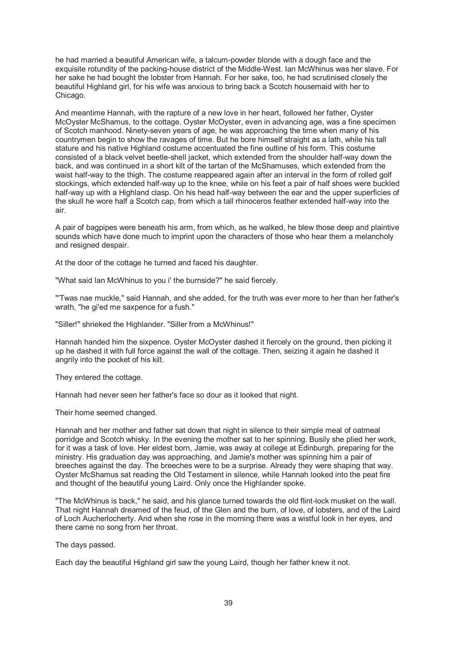he had married a beautiful American wife, a talcum-powder blonde with a dough face and the exquisite rotundity of the packing-house district of the Middle-West. Ian McWhinus was her slave. For her sake he had bought the lobster from Hannah. For her sake, too, he had scrutinised closely the beautiful Highland girl, for his wife was anxious to bring back a Scotch housemaid with her to Chicago.

And meantime Hannah, with the rapture of a new love in her heart, followed her father, Oyster McOyster McShamus, to the cottage. Oyster McOyster, even in advancing age, was a fine specimen of Scotch manhood. Ninety-seven years of age, he was approaching the time when many of his countrymen begin to show the ravages of time. But he bore himself straight as a lath, while his tall stature and his native Highland costume accentuated the fine outline of his form. This costume consisted of a black velvet beetle-shell jacket, which extended from the shoulder half-way down the back, and was continued in a short kilt of the tartan of the McShamuses, which extended from the waist half-way to the thigh. The costume reappeared again after an interval in the form of rolled golf stockings, which extended half-way up to the knee, while on his feet a pair of half shoes were buckled half-way up with a Highland clasp. On his head half-way between the ear and the upper superficies of the skull he wore half a Scotch cap, from which a tall rhinoceros feather extended half-way into the air.

A pair of bagpipes were beneath his arm, from which, as he walked, he blew those deep and plaintive sounds which have done much to imprint upon the characters of those who hear them a melancholy and resigned despair.

At the door of the cottage he turned and faced his daughter.

"What said Ian McWhinus to you i' the burnside?" he said fiercely.

"'Twas nae muckle," said Hannah, and she added, for the truth was ever more to her than her father's wrath, "he gi'ed me saxpence for a fush."

"Siller!" shrieked the Highlander. "Siller from a McWhinus!"

Hannah handed him the sixpence. Oyster McOyster dashed it fiercely on the ground, then picking it up he dashed it with full force against the wall of the cottage. Then, seizing it again he dashed it angrily into the pocket of his kilt.

They entered the cottage.

Hannah had never seen her father's face so dour as it looked that night.

Their home seemed changed.

Hannah and her mother and father sat down that night in silence to their simple meal of oatmeal porridge and Scotch whisky. In the evening the mother sat to her spinning. Busily she plied her work, for it was a task of love. Her eldest born, Jamie, was away at college at Edinburgh, preparing for the ministry. His graduation day was approaching, and Jamie's mother was spinning him a pair of breeches against the day. The breeches were to be a surprise. Already they were shaping that way. Oyster McShamus sat reading the Old Testament in silence, while Hannah looked into the peat fire and thought of the beautiful young Laird. Only once the Highlander spoke.

"The McWhinus is back," he said, and his glance turned towards the old flint-lock musket on the wall. That night Hannah dreamed of the feud, of the Glen and the burn, of love, of lobsters, and of the Laird of Loch Aucherlocherty. And when she rose in the morning there was a wistful look in her eyes, and there came no song from her throat.

The days passed.

Each day the beautiful Highland girl saw the young Laird, though her father knew it not.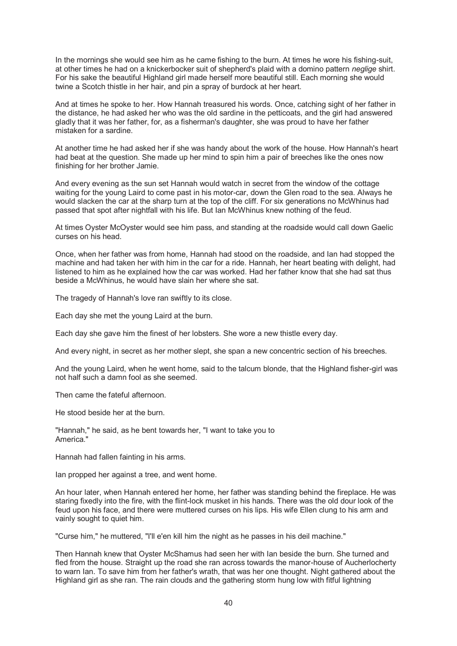In the mornings she would see him as he came fishing to the burn. At times he wore his fishing-suit, at other times he had on a knickerbocker suit of shepherd's plaid with a domino pattern *neglige* shirt. For his sake the beautiful Highland girl made herself more beautiful still. Each morning she would twine a Scotch thistle in her hair, and pin a spray of burdock at her heart.

And at times he spoke to her. How Hannah treasured his words. Once, catching sight of her father in the distance, he had asked her who was the old sardine in the petticoats, and the girl had answered gladly that it was her father, for, as a fisherman's daughter, she was proud to have her father mistaken for a sardine.

At another time he had asked her if she was handy about the work of the house. How Hannah's heart had beat at the question. She made up her mind to spin him a pair of breeches like the ones now finishing for her brother Jamie.

And every evening as the sun set Hannah would watch in secret from the window of the cottage waiting for the young Laird to come past in his motor-car, down the Glen road to the sea. Always he would slacken the car at the sharp turn at the top of the cliff. For six generations no McWhinus had passed that spot after nightfall with his life. But Ian McWhinus knew nothing of the feud.

At times Oyster McOyster would see him pass, and standing at the roadside would call down Gaelic curses on his head.

Once, when her father was from home, Hannah had stood on the roadside, and Ian had stopped the machine and had taken her with him in the car for a ride. Hannah, her heart beating with delight, had listened to him as he explained how the car was worked. Had her father know that she had sat thus beside a McWhinus, he would have slain her where she sat.

The tragedy of Hannah's love ran swiftly to its close.

Each day she met the young Laird at the burn.

Each day she gave him the finest of her lobsters. She wore a new thistle every day.

And every night, in secret as her mother slept, she span a new concentric section of his breeches.

And the young Laird, when he went home, said to the talcum blonde, that the Highland fisher-girl was not half such a damn fool as she seemed.

Then came the fateful afternoon.

He stood beside her at the burn.

"Hannah," he said, as he bent towards her, "I want to take you to America."

Hannah had fallen fainting in his arms.

Ian propped her against a tree, and went home.

An hour later, when Hannah entered her home, her father was standing behind the fireplace. He was staring fixedly into the fire, with the flint-lock musket in his hands. There was the old dour look of the feud upon his face, and there were muttered curses on his lips. His wife Ellen clung to his arm and vainly sought to quiet him.

"Curse him," he muttered, "I'll e'en kill him the night as he passes in his deil machine."

Then Hannah knew that Oyster McShamus had seen her with Ian beside the burn. She turned and fled from the house. Straight up the road she ran across towards the manor-house of Aucherlocherty to warn Ian. To save him from her father's wrath, that was her one thought. Night gathered about the Highland girl as she ran. The rain clouds and the gathering storm hung low with fitful lightning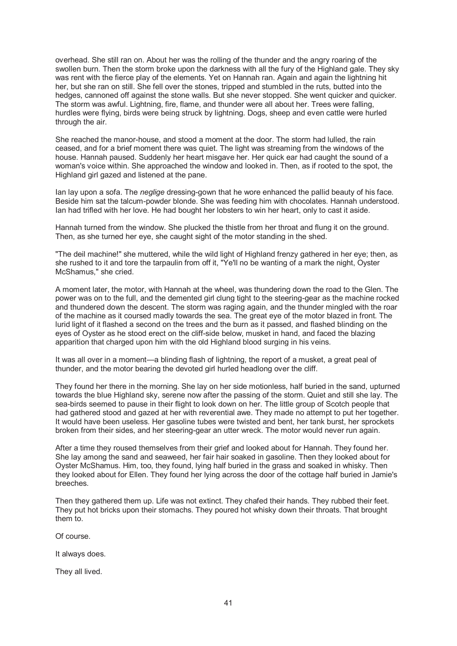overhead. She still ran on. About her was the rolling of the thunder and the angry roaring of the swollen burn. Then the storm broke upon the darkness with all the fury of the Highland gale. They sky was rent with the fierce play of the elements. Yet on Hannah ran. Again and again the lightning hit her, but she ran on still. She fell over the stones, tripped and stumbled in the ruts, butted into the hedges, cannoned off against the stone walls. But she never stopped. She went quicker and quicker. The storm was awful. Lightning, fire, flame, and thunder were all about her. Trees were falling, hurdles were flying, birds were being struck by lightning. Dogs, sheep and even cattle were hurled through the air.

She reached the manor-house, and stood a moment at the door. The storm had lulled, the rain ceased, and for a brief moment there was quiet. The light was streaming from the windows of the house. Hannah paused. Suddenly her heart misgave her. Her quick ear had caught the sound of a woman's voice within. She approached the window and looked in. Then, as if rooted to the spot, the Highland girl gazed and listened at the pane.

Ian lay upon a sofa. The *neglige* dressing-gown that he wore enhanced the pallid beauty of his face. Beside him sat the talcum-powder blonde. She was feeding him with chocolates. Hannah understood. Ian had trifled with her love. He had bought her lobsters to win her heart, only to cast it aside.

Hannah turned from the window. She plucked the thistle from her throat and flung it on the ground. Then, as she turned her eye, she caught sight of the motor standing in the shed.

"The deil machine!" she muttered, while the wild light of Highland frenzy gathered in her eye; then, as she rushed to it and tore the tarpaulin from off it, "Ye'll no be wanting of a mark the night, Oyster McShamus," she cried.

A moment later, the motor, with Hannah at the wheel, was thundering down the road to the Glen. The power was on to the full, and the demented girl clung tight to the steering-gear as the machine rocked and thundered down the descent. The storm was raging again, and the thunder mingled with the roar of the machine as it coursed madly towards the sea. The great eye of the motor blazed in front. The lurid light of it flashed a second on the trees and the burn as it passed, and flashed blinding on the eyes of Oyster as he stood erect on the cliff-side below, musket in hand, and faced the blazing apparition that charged upon him with the old Highland blood surging in his veins.

It was all over in a moment—a blinding flash of lightning, the report of a musket, a great peal of thunder, and the motor bearing the devoted girl hurled headlong over the cliff.

They found her there in the morning. She lay on her side motionless, half buried in the sand, upturned towards the blue Highland sky, serene now after the passing of the storm. Quiet and still she lay. The sea-birds seemed to pause in their flight to look down on her. The little group of Scotch people that had gathered stood and gazed at her with reverential awe. They made no attempt to put her together. It would have been useless. Her gasoline tubes were twisted and bent, her tank burst, her sprockets broken from their sides, and her steering-gear an utter wreck. The motor would never run again.

After a time they roused themselves from their grief and looked about for Hannah. They found her. She lay among the sand and seaweed, her fair hair soaked in gasoline. Then they looked about for Oyster McShamus. Him, too, they found, lying half buried in the grass and soaked in whisky. Then they looked about for Ellen. They found her lying across the door of the cottage half buried in Jamie's breeches.

Then they gathered them up. Life was not extinct. They chafed their hands. They rubbed their feet. They put hot bricks upon their stomachs. They poured hot whisky down their throats. That brought them to.

Of course.

It always does.

They all lived.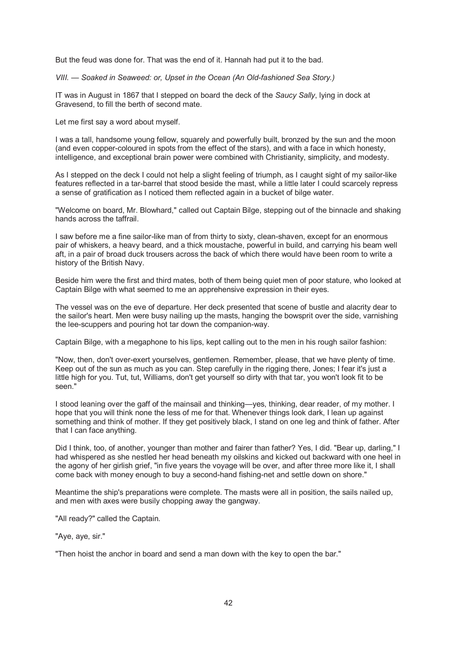But the feud was done for. That was the end of it. Hannah had put it to the bad.

*VIII. — Soaked in Seaweed: or, Upset in the Ocean (An Old-fashioned Sea Story.)*

IT was in August in 1867 that I stepped on board the deck of the *Saucy Sally*, lying in dock at Gravesend, to fill the berth of second mate.

Let me first say a word about myself.

I was a tall, handsome young fellow, squarely and powerfully built, bronzed by the sun and the moon (and even copper-coloured in spots from the effect of the stars), and with a face in which honesty, intelligence, and exceptional brain power were combined with Christianity, simplicity, and modesty.

As I stepped on the deck I could not help a slight feeling of triumph, as I caught sight of my sailor-like features reflected in a tar-barrel that stood beside the mast, while a little later I could scarcely repress a sense of gratification as I noticed them reflected again in a bucket of bilge water.

"Welcome on board, Mr. Blowhard," called out Captain Bilge, stepping out of the binnacle and shaking hands across the taffrail.

I saw before me a fine sailor-like man of from thirty to sixty, clean-shaven, except for an enormous pair of whiskers, a heavy beard, and a thick moustache, powerful in build, and carrying his beam well aft, in a pair of broad duck trousers across the back of which there would have been room to write a history of the British Navy.

Beside him were the first and third mates, both of them being quiet men of poor stature, who looked at Captain Bilge with what seemed to me an apprehensive expression in their eyes.

The vessel was on the eve of departure. Her deck presented that scene of bustle and alacrity dear to the sailor's heart. Men were busy nailing up the masts, hanging the bowsprit over the side, varnishing the lee-scuppers and pouring hot tar down the companion-way.

Captain Bilge, with a megaphone to his lips, kept calling out to the men in his rough sailor fashion:

"Now, then, don't over-exert yourselves, gentlemen. Remember, please, that we have plenty of time. Keep out of the sun as much as you can. Step carefully in the rigging there, Jones; I fear it's just a little high for you. Tut, tut, Williams, don't get yourself so dirty with that tar, you won't look fit to be seen."

I stood leaning over the gaff of the mainsail and thinking—yes, thinking, dear reader, of my mother. I hope that you will think none the less of me for that. Whenever things look dark, I lean up against something and think of mother. If they get positively black, I stand on one leg and think of father. After that I can face anything.

Did I think, too, of another, younger than mother and fairer than father? Yes, I did. "Bear up, darling," I had whispered as she nestled her head beneath my oilskins and kicked out backward with one heel in the agony of her girlish grief, "in five years the voyage will be over, and after three more like it, I shall come back with money enough to buy a second-hand fishing-net and settle down on shore."

Meantime the ship's preparations were complete. The masts were all in position, the sails nailed up, and men with axes were busily chopping away the gangway.

"All ready?" called the Captain.

"Aye, aye, sir."

"Then hoist the anchor in board and send a man down with the key to open the bar."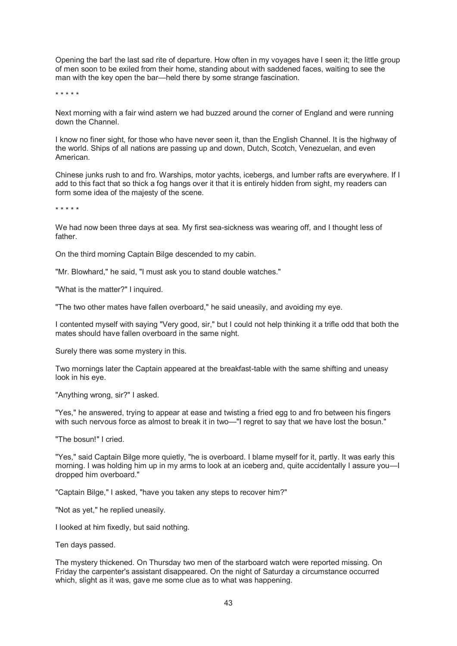Opening the bar! the last sad rite of departure. How often in my voyages have I seen it; the little group of men soon to be exiled from their home, standing about with saddened faces, waiting to see the man with the key open the bar—held there by some strange fascination.

\* \* \* \* \*

Next morning with a fair wind astern we had buzzed around the corner of England and were running down the Channel.

I know no finer sight, for those who have never seen it, than the English Channel. It is the highway of the world. Ships of all nations are passing up and down, Dutch, Scotch, Venezuelan, and even American.

Chinese junks rush to and fro. Warships, motor yachts, icebergs, and lumber rafts are everywhere. If I add to this fact that so thick a fog hangs over it that it is entirely hidden from sight, my readers can form some idea of the majesty of the scene.

\* \* \* \* \*

We had now been three days at sea. My first sea-sickness was wearing off, and I thought less of father.

On the third morning Captain Bilge descended to my cabin.

"Mr. Blowhard," he said, "I must ask you to stand double watches."

"What is the matter?" I inquired.

"The two other mates have fallen overboard," he said uneasily, and avoiding my eye.

I contented myself with saying "Very good, sir," but I could not help thinking it a trifle odd that both the mates should have fallen overboard in the same night.

Surely there was some mystery in this.

Two mornings later the Captain appeared at the breakfast-table with the same shifting and uneasy look in his eye.

"Anything wrong, sir?" I asked.

"Yes," he answered, trying to appear at ease and twisting a fried egg to and fro between his fingers with such nervous force as almost to break it in two—"I regret to say that we have lost the bosun."

"The bosun!" I cried.

"Yes," said Captain Bilge more quietly, "he is overboard. I blame myself for it, partly. It was early this morning. I was holding him up in my arms to look at an iceberg and, quite accidentally I assure you—I dropped him overboard."

"Captain Bilge," I asked, "have you taken any steps to recover him?"

"Not as yet," he replied uneasily.

I looked at him fixedly, but said nothing.

Ten days passed.

The mystery thickened. On Thursday two men of the starboard watch were reported missing. On Friday the carpenter's assistant disappeared. On the night of Saturday a circumstance occurred which, slight as it was, gave me some clue as to what was happening.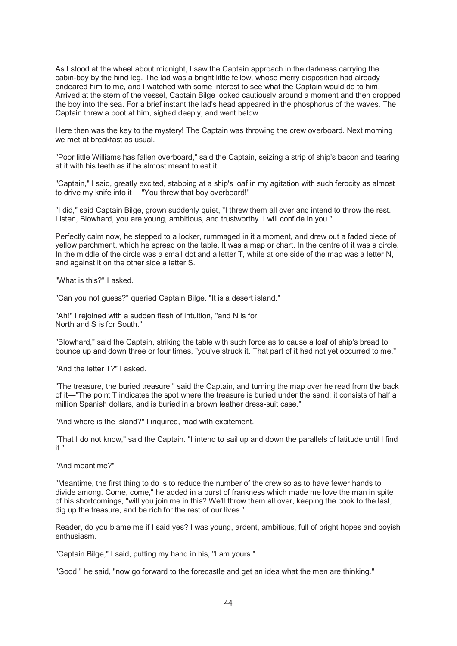As I stood at the wheel about midnight, I saw the Captain approach in the darkness carrying the cabin-boy by the hind leg. The lad was a bright little fellow, whose merry disposition had already endeared him to me, and I watched with some interest to see what the Captain would do to him. Arrived at the stern of the vessel, Captain Bilge looked cautiously around a moment and then dropped the boy into the sea. For a brief instant the lad's head appeared in the phosphorus of the waves. The Captain threw a boot at him, sighed deeply, and went below.

Here then was the key to the mystery! The Captain was throwing the crew overboard. Next morning we met at breakfast as usual.

"Poor little Williams has fallen overboard," said the Captain, seizing a strip of ship's bacon and tearing at it with his teeth as if he almost meant to eat it.

"Captain," I said, greatly excited, stabbing at a ship's loaf in my agitation with such ferocity as almost to drive my knife into it— "You threw that boy overboard!"

"I did," said Captain Bilge, grown suddenly quiet, "I threw them all over and intend to throw the rest. Listen, Blowhard, you are young, ambitious, and trustworthy. I will confide in you."

Perfectly calm now, he stepped to a locker, rummaged in it a moment, and drew out a faded piece of yellow parchment, which he spread on the table. It was a map or chart. In the centre of it was a circle. In the middle of the circle was a small dot and a letter T, while at one side of the map was a letter N, and against it on the other side a letter S.

"What is this?" I asked.

"Can you not guess?" queried Captain Bilge. "It is a desert island."

"Ah!" I rejoined with a sudden flash of intuition, "and N is for North and S is for South."

"Blowhard," said the Captain, striking the table with such force as to cause a loaf of ship's bread to bounce up and down three or four times, "you've struck it. That part of it had not yet occurred to me."

"And the letter T?" I asked.

"The treasure, the buried treasure," said the Captain, and turning the map over he read from the back of it—"The point T indicates the spot where the treasure is buried under the sand; it consists of half a million Spanish dollars, and is buried in a brown leather dress-suit case."

"And where is the island?" I inquired, mad with excitement.

"That I do not know," said the Captain. "I intend to sail up and down the parallels of latitude until I find it."

"And meantime?"

"Meantime, the first thing to do is to reduce the number of the crew so as to have fewer hands to divide among. Come, come," he added in a burst of frankness which made me love the man in spite of his shortcomings, "will you join me in this? We'll throw them all over, keeping the cook to the last, dig up the treasure, and be rich for the rest of our lives."

Reader, do you blame me if I said yes? I was young, ardent, ambitious, full of bright hopes and boyish enthusiasm.

"Captain Bilge," I said, putting my hand in his, "I am yours."

"Good," he said, "now go forward to the forecastle and get an idea what the men are thinking."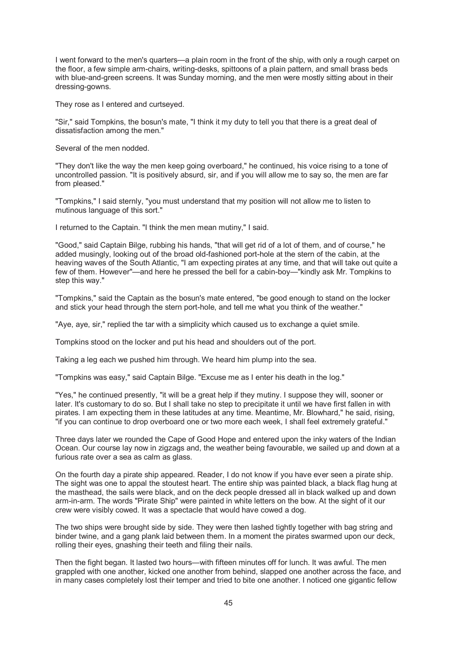I went forward to the men's quarters—a plain room in the front of the ship, with only a rough carpet on the floor, a few simple arm-chairs, writing-desks, spittoons of a plain pattern, and small brass beds with blue-and-green screens. It was Sunday morning, and the men were mostly sitting about in their dressing-gowns.

They rose as I entered and curtseyed.

"Sir," said Tompkins, the bosun's mate, "I think it my duty to tell you that there is a great deal of dissatisfaction among the men."

Several of the men nodded.

"They don't like the way the men keep going overboard," he continued, his voice rising to a tone of uncontrolled passion. "It is positively absurd, sir, and if you will allow me to say so, the men are far from pleased."

"Tompkins," I said sternly, "you must understand that my position will not allow me to listen to mutinous language of this sort."

I returned to the Captain. "I think the men mean mutiny," I said.

"Good," said Captain Bilge, rubbing his hands, "that will get rid of a lot of them, and of course," he added musingly, looking out of the broad old-fashioned port-hole at the stern of the cabin, at the heaving waves of the South Atlantic, "I am expecting pirates at any time, and that will take out quite a few of them. However"—and here he pressed the bell for a cabin-boy—"kindly ask Mr. Tompkins to step this way."

"Tompkins," said the Captain as the bosun's mate entered, "be good enough to stand on the locker and stick your head through the stern port-hole, and tell me what you think of the weather."

"Aye, aye, sir," replied the tar with a simplicity which caused us to exchange a quiet smile.

Tompkins stood on the locker and put his head and shoulders out of the port.

Taking a leg each we pushed him through. We heard him plump into the sea.

"Tompkins was easy," said Captain Bilge. "Excuse me as I enter his death in the log."

"Yes," he continued presently, "it will be a great help if they mutiny. I suppose they will, sooner or later. It's customary to do so. But I shall take no step to precipitate it until we have first fallen in with pirates. I am expecting them in these latitudes at any time. Meantime, Mr. Blowhard," he said, rising, "if you can continue to drop overboard one or two more each week, I shall feel extremely grateful."

Three days later we rounded the Cape of Good Hope and entered upon the inky waters of the Indian Ocean. Our course lay now in zigzags and, the weather being favourable, we sailed up and down at a furious rate over a sea as calm as glass.

On the fourth day a pirate ship appeared. Reader, I do not know if you have ever seen a pirate ship. The sight was one to appal the stoutest heart. The entire ship was painted black, a black flag hung at the masthead, the sails were black, and on the deck people dressed all in black walked up and down arm-in-arm. The words "Pirate Ship" were painted in white letters on the bow. At the sight of it our crew were visibly cowed. It was a spectacle that would have cowed a dog.

The two ships were brought side by side. They were then lashed tightly together with bag string and binder twine, and a gang plank laid between them. In a moment the pirates swarmed upon our deck, rolling their eyes, gnashing their teeth and filing their nails.

Then the fight began. It lasted two hours—with fifteen minutes off for lunch. It was awful. The men grappled with one another, kicked one another from behind, slapped one another across the face, and in many cases completely lost their temper and tried to bite one another. I noticed one gigantic fellow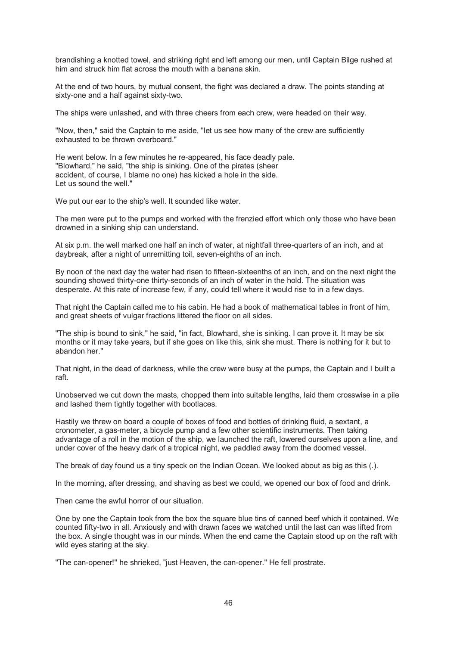brandishing a knotted towel, and striking right and left among our men, until Captain Bilge rushed at him and struck him flat across the mouth with a banana skin.

At the end of two hours, by mutual consent, the fight was declared a draw. The points standing at sixty-one and a half against sixty-two.

The ships were unlashed, and with three cheers from each crew, were headed on their way.

"Now, then," said the Captain to me aside, "let us see how many of the crew are sufficiently exhausted to be thrown overboard."

He went below. In a few minutes he re-appeared, his face deadly pale. "Blowhard," he said, "the ship is sinking. One of the pirates (sheer accident, of course, I blame no one) has kicked a hole in the side. Let us sound the well."

We put our ear to the ship's well. It sounded like water.

The men were put to the pumps and worked with the frenzied effort which only those who have been drowned in a sinking ship can understand.

At six p.m. the well marked one half an inch of water, at nightfall three-quarters of an inch, and at daybreak, after a night of unremitting toil, seven-eighths of an inch.

By noon of the next day the water had risen to fifteen-sixteenths of an inch, and on the next night the sounding showed thirty-one thirty-seconds of an inch of water in the hold. The situation was desperate. At this rate of increase few, if any, could tell where it would rise to in a few days.

That night the Captain called me to his cabin. He had a book of mathematical tables in front of him, and great sheets of vulgar fractions littered the floor on all sides.

"The ship is bound to sink," he said, "in fact, Blowhard, she is sinking. I can prove it. It may be six months or it may take years, but if she goes on like this, sink she must. There is nothing for it but to abandon her."

That night, in the dead of darkness, while the crew were busy at the pumps, the Captain and I built a raft.

Unobserved we cut down the masts, chopped them into suitable lengths, laid them crosswise in a pile and lashed them tightly together with bootlaces.

Hastily we threw on board a couple of boxes of food and bottles of drinking fluid, a sextant, a cronometer, a gas-meter, a bicycle pump and a few other scientific instruments. Then taking advantage of a roll in the motion of the ship, we launched the raft, lowered ourselves upon a line, and under cover of the heavy dark of a tropical night, we paddled away from the doomed vessel.

The break of day found us a tiny speck on the Indian Ocean. We looked about as big as this (.).

In the morning, after dressing, and shaving as best we could, we opened our box of food and drink.

Then came the awful horror of our situation.

One by one the Captain took from the box the square blue tins of canned beef which it contained. We counted fifty-two in all. Anxiously and with drawn faces we watched until the last can was lifted from the box. A single thought was in our minds. When the end came the Captain stood up on the raft with wild eyes staring at the sky.

"The can-opener!" he shrieked, "just Heaven, the can-opener." He fell prostrate.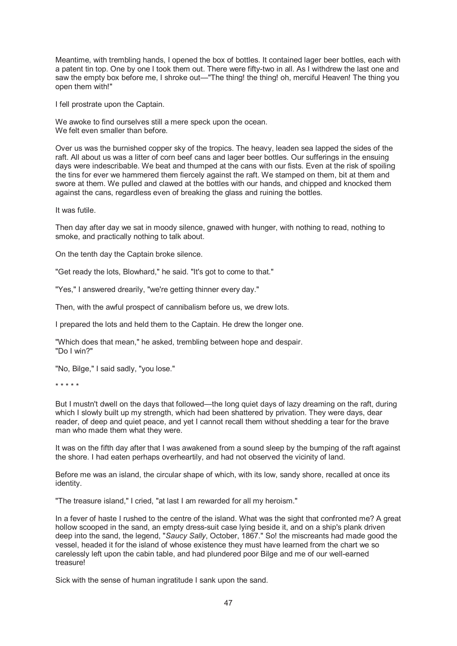Meantime, with trembling hands, I opened the box of bottles. It contained lager beer bottles, each with a patent tin top. One by one I took them out. There were fifty-two in all. As I withdrew the last one and saw the empty box before me, I shroke out—"The thing! the thing! oh, merciful Heaven! The thing you open them with!"

I fell prostrate upon the Captain.

We awoke to find ourselves still a mere speck upon the ocean. We felt even smaller than before.

Over us was the burnished copper sky of the tropics. The heavy, leaden sea lapped the sides of the raft. All about us was a litter of corn beef cans and lager beer bottles. Our sufferings in the ensuing days were indescribable. We beat and thumped at the cans with our fists. Even at the risk of spoiling the tins for ever we hammered them fiercely against the raft. We stamped on them, bit at them and swore at them. We pulled and clawed at the bottles with our hands, and chipped and knocked them against the cans, regardless even of breaking the glass and ruining the bottles.

It was futile.

Then day after day we sat in moody silence, gnawed with hunger, with nothing to read, nothing to smoke, and practically nothing to talk about.

On the tenth day the Captain broke silence.

"Get ready the lots, Blowhard," he said. "It's got to come to that."

"Yes," I answered drearily, "we're getting thinner every day."

Then, with the awful prospect of cannibalism before us, we drew lots.

I prepared the lots and held them to the Captain. He drew the longer one.

"Which does that mean," he asked, trembling between hope and despair. "Do I win?"

"No, Bilge," I said sadly, "you lose."

\* \* \* \* \*

But I mustn't dwell on the days that followed—the long quiet days of lazy dreaming on the raft, during which I slowly built up my strength, which had been shattered by privation. They were days, dear reader, of deep and quiet peace, and yet I cannot recall them without shedding a tear for the brave man who made them what they were.

It was on the fifth day after that I was awakened from a sound sleep by the bumping of the raft against the shore. I had eaten perhaps overheartily, and had not observed the vicinity of land.

Before me was an island, the circular shape of which, with its low, sandy shore, recalled at once its identity.

"The treasure island," I cried, "at last I am rewarded for all my heroism."

In a fever of haste I rushed to the centre of the island. What was the sight that confronted me? A great hollow scooped in the sand, an empty dress-suit case lying beside it, and on a ship's plank driven deep into the sand, the legend, "*Saucy Sally*, October, 1867." So! the miscreants had made good the vessel, headed it for the island of whose existence they must have learned from the chart we so carelessly left upon the cabin table, and had plundered poor Bilge and me of our well-earned treasure!

Sick with the sense of human ingratitude I sank upon the sand.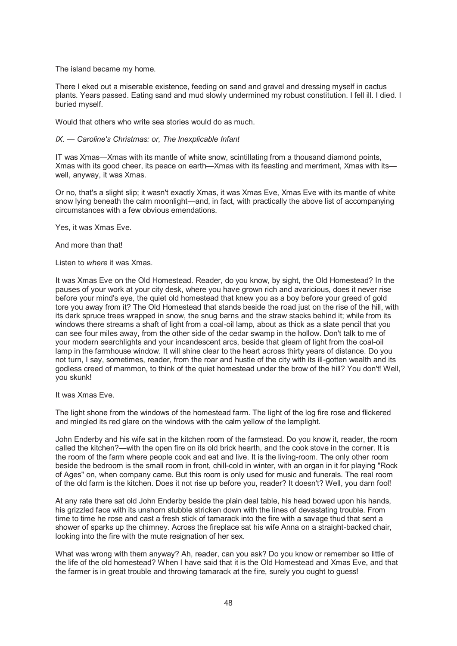The island became my home.

There I eked out a miserable existence, feeding on sand and gravel and dressing myself in cactus plants. Years passed. Eating sand and mud slowly undermined my robust constitution. I fell ill. I died. I buried myself.

Would that others who write sea stories would do as much.

### *IX. — Caroline's Christmas: or, The Inexplicable Infant*

IT was Xmas—Xmas with its mantle of white snow, scintillating from a thousand diamond points, Xmas with its good cheer, its peace on earth—Xmas with its feasting and merriment, Xmas with its well, anyway, it was Xmas.

Or no, that's a slight slip; it wasn't exactly Xmas, it was Xmas Eve, Xmas Eve with its mantle of white snow lying beneath the calm moonlight—and, in fact, with practically the above list of accompanying circumstances with a few obvious emendations.

Yes, it was Xmas Eve.

And more than that!

Listen to *where* it was Xmas.

It was Xmas Eve on the Old Homestead. Reader, do you know, by sight, the Old Homestead? In the pauses of your work at your city desk, where you have grown rich and avaricious, does it never rise before your mind's eye, the quiet old homestead that knew you as a boy before your greed of gold tore you away from it? The Old Homestead that stands beside the road just on the rise of the hill, with its dark spruce trees wrapped in snow, the snug barns and the straw stacks behind it; while from its windows there streams a shaft of light from a coal-oil lamp, about as thick as a slate pencil that you can see four miles away, from the other side of the cedar swamp in the hollow. Don't talk to me of your modern searchlights and your incandescent arcs, beside that gleam of light from the coal-oil lamp in the farmhouse window. It will shine clear to the heart across thirty years of distance. Do you not turn, I say, sometimes, reader, from the roar and hustle of the city with its ill-gotten wealth and its godless creed of mammon, to think of the quiet homestead under the brow of the hill? You don't! Well, you skunk!

It was Xmas Eve.

The light shone from the windows of the homestead farm. The light of the log fire rose and flickered and mingled its red glare on the windows with the calm yellow of the lamplight.

John Enderby and his wife sat in the kitchen room of the farmstead. Do you know it, reader, the room called the kitchen?—with the open fire on its old brick hearth, and the cook stove in the corner. It is the room of the farm where people cook and eat and live. It is the living-room. The only other room beside the bedroom is the small room in front, chill-cold in winter, with an organ in it for playing "Rock of Ages" on, when company came. But this room is only used for music and funerals. The real room of the old farm is the kitchen. Does it not rise up before you, reader? It doesn't? Well, you darn fool!

At any rate there sat old John Enderby beside the plain deal table, his head bowed upon his hands, his grizzled face with its unshorn stubble stricken down with the lines of devastating trouble. From time to time he rose and cast a fresh stick of tamarack into the fire with a savage thud that sent a shower of sparks up the chimney. Across the fireplace sat his wife Anna on a straight-backed chair, looking into the fire with the mute resignation of her sex.

What was wrong with them anyway? Ah, reader, can you ask? Do you know or remember so little of the life of the old homestead? When I have said that it is the Old Homestead and Xmas Eve, and that the farmer is in great trouble and throwing tamarack at the fire, surely you ought to guess!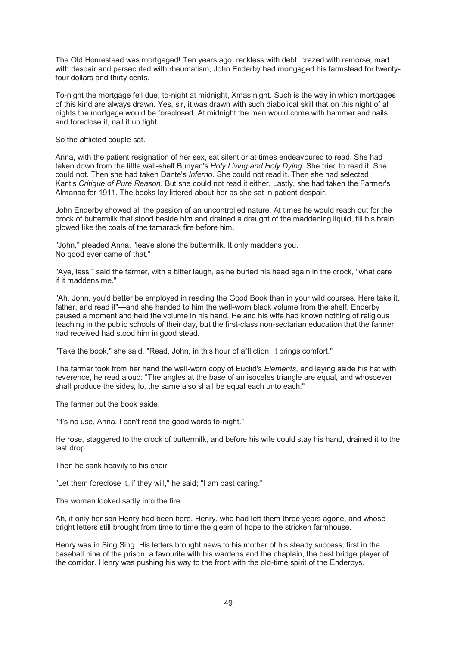The Old Homestead was mortgaged! Ten years ago, reckless with debt, crazed with remorse, mad with despair and persecuted with rheumatism, John Enderby had mortgaged his farmstead for twentyfour dollars and thirty cents.

To-night the mortgage fell due, to-night at midnight, Xmas night. Such is the way in which mortgages of this kind are always drawn. Yes, sir, it was drawn with such diabolical skill that on this night of all nights the mortgage would be foreclosed. At midnight the men would come with hammer and nails and foreclose it, nail it up tight.

So the afflicted couple sat.

Anna, with the patient resignation of her sex, sat silent or at times endeavoured to read. She had taken down from the little wall-shelf Bunyan's *Holy Living and Holy Dying*. She tried to read it. She could not. Then she had taken Dante's *Inferno*. She could not read it. Then she had selected Kant's *Critique of Pure Reason*. But she could not read it either. Lastly, she had taken the Farmer's Almanac for 1911. The books lay littered about her as she sat in patient despair.

John Enderby showed all the passion of an uncontrolled nature. At times he would reach out for the crock of buttermilk that stood beside him and drained a draught of the maddening liquid, till his brain glowed like the coals of the tamarack fire before him.

"John," pleaded Anna, "leave alone the buttermilk. It only maddens you. No good ever came of that."

"Aye, lass," said the farmer, with a bitter laugh, as he buried his head again in the crock, "what care I if it maddens me."

"Ah, John, you'd better be employed in reading the Good Book than in your wild courses. Here take it, father, and read it"—and she handed to him the well-worn black volume from the shelf. Enderby paused a moment and held the volume in his hand. He and his wife had known nothing of religious teaching in the public schools of their day, but the first-class non-sectarian education that the farmer had received had stood him in good stead.

"Take the book," she said. "Read, John, in this hour of affliction; it brings comfort."

The farmer took from her hand the well-worn copy of Euclid's *Elements*, and laying aside his hat with reverence, he read aloud: "The angles at the base of an isoceles triangle are equal, and whosoever shall produce the sides, lo, the same also shall be equal each unto each."

The farmer put the book aside.

"It's no use, Anna. I can't read the good words to-night."

He rose, staggered to the crock of buttermilk, and before his wife could stay his hand, drained it to the last drop.

Then he sank heavily to his chair.

"Let them foreclose it, if they will," he said; "I am past caring."

The woman looked sadly into the fire.

Ah, if only her son Henry had been here. Henry, who had left them three years agone, and whose bright letters still brought from time to time the gleam of hope to the stricken farmhouse.

Henry was in Sing Sing. His letters brought news to his mother of his steady success; first in the baseball nine of the prison, a favourite with his wardens and the chaplain, the best bridge player of the corridor. Henry was pushing his way to the front with the old-time spirit of the Enderbys.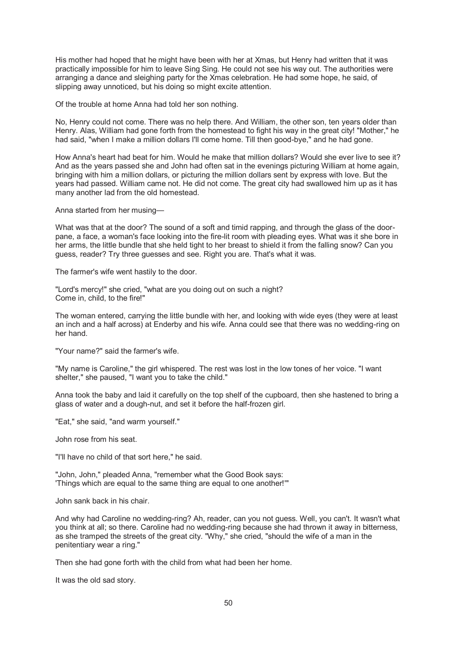His mother had hoped that he might have been with her at Xmas, but Henry had written that it was practically impossible for him to leave Sing Sing. He could not see his way out. The authorities were arranging a dance and sleighing party for the Xmas celebration. He had some hope, he said, of slipping away unnoticed, but his doing so might excite attention.

Of the trouble at home Anna had told her son nothing.

No, Henry could not come. There was no help there. And William, the other son, ten years older than Henry. Alas, William had gone forth from the homestead to fight his way in the great city! "Mother," he had said, "when I make a million dollars I'll come home. Till then good-bye," and he had gone.

How Anna's heart had beat for him. Would he make that million dollars? Would she ever live to see it? And as the years passed she and John had often sat in the evenings picturing William at home again, bringing with him a million dollars, or picturing the million dollars sent by express with love. But the years had passed. William came not. He did not come. The great city had swallowed him up as it has many another lad from the old homestead.

Anna started from her musing—

What was that at the door? The sound of a soft and timid rapping, and through the glass of the doorpane, a face, a woman's face looking into the fire-lit room with pleading eyes. What was it she bore in her arms, the little bundle that she held tight to her breast to shield it from the falling snow? Can you guess, reader? Try three guesses and see. Right you are. That's what it was.

The farmer's wife went hastily to the door.

"Lord's mercy!" she cried, "what are you doing out on such a night? Come in, child, to the fire!"

The woman entered, carrying the little bundle with her, and looking with wide eyes (they were at least an inch and a half across) at Enderby and his wife. Anna could see that there was no wedding-ring on her hand.

"Your name?" said the farmer's wife.

"My name is Caroline," the girl whispered. The rest was lost in the low tones of her voice. "I want shelter," she paused, "I want you to take the child."

Anna took the baby and laid it carefully on the top shelf of the cupboard, then she hastened to bring a glass of water and a dough-nut, and set it before the half-frozen girl.

"Eat," she said, "and warm yourself."

John rose from his seat.

"I'll have no child of that sort here," he said.

"John, John," pleaded Anna, "remember what the Good Book says: 'Things which are equal to the same thing are equal to one another!'"

John sank back in his chair.

And why had Caroline no wedding-ring? Ah, reader, can you not guess. Well, you can't. It wasn't what you think at all; so there. Caroline had no wedding-ring because she had thrown it away in bitterness, as she tramped the streets of the great city. "Why," she cried, "should the wife of a man in the penitentiary wear a ring."

Then she had gone forth with the child from what had been her home.

It was the old sad story.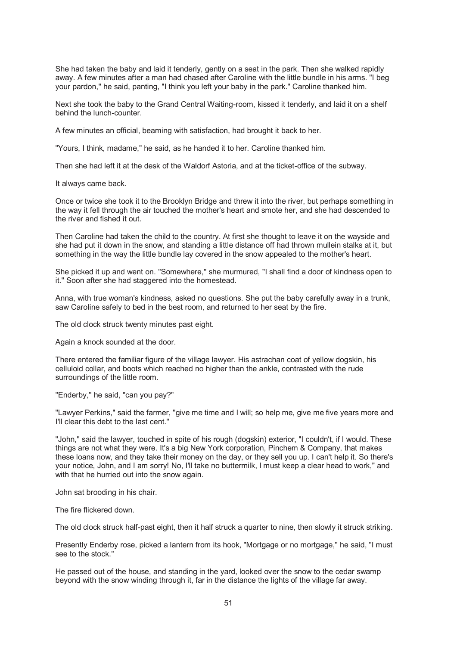She had taken the baby and laid it tenderly, gently on a seat in the park. Then she walked rapidly away. A few minutes after a man had chased after Caroline with the little bundle in his arms. "I beg your pardon," he said, panting, "I think you left your baby in the park." Caroline thanked him.

Next she took the baby to the Grand Central Waiting-room, kissed it tenderly, and laid it on a shelf behind the lunch-counter.

A few minutes an official, beaming with satisfaction, had brought it back to her.

"Yours, I think, madame," he said, as he handed it to her. Caroline thanked him.

Then she had left it at the desk of the Waldorf Astoria, and at the ticket-office of the subway.

It always came back.

Once or twice she took it to the Brooklyn Bridge and threw it into the river, but perhaps something in the way it fell through the air touched the mother's heart and smote her, and she had descended to the river and fished it out.

Then Caroline had taken the child to the country. At first she thought to leave it on the wayside and she had put it down in the snow, and standing a little distance off had thrown mullein stalks at it, but something in the way the little bundle lay covered in the snow appealed to the mother's heart.

She picked it up and went on. "Somewhere," she murmured, "I shall find a door of kindness open to it." Soon after she had staggered into the homestead.

Anna, with true woman's kindness, asked no questions. She put the baby carefully away in a trunk, saw Caroline safely to bed in the best room, and returned to her seat by the fire.

The old clock struck twenty minutes past eight.

Again a knock sounded at the door.

There entered the familiar figure of the village lawyer. His astrachan coat of yellow dogskin, his celluloid collar, and boots which reached no higher than the ankle, contrasted with the rude surroundings of the little room.

"Enderby," he said, "can you pay?"

"Lawyer Perkins," said the farmer, "give me time and I will; so help me, give me five years more and I'll clear this debt to the last cent."

"John," said the lawyer, touched in spite of his rough (dogskin) exterior, "I couldn't, if I would. These things are not what they were. It's a big New York corporation, Pinchem & Company, that makes these loans now, and they take their money on the day, or they sell you up. I can't help it. So there's your notice, John, and I am sorry! No, I'll take no buttermilk, I must keep a clear head to work," and with that he hurried out into the snow again.

John sat brooding in his chair.

The fire flickered down.

The old clock struck half-past eight, then it half struck a quarter to nine, then slowly it struck striking.

Presently Enderby rose, picked a lantern from its hook, "Mortgage or no mortgage," he said, "I must see to the stock."

He passed out of the house, and standing in the yard, looked over the snow to the cedar swamp beyond with the snow winding through it, far in the distance the lights of the village far away.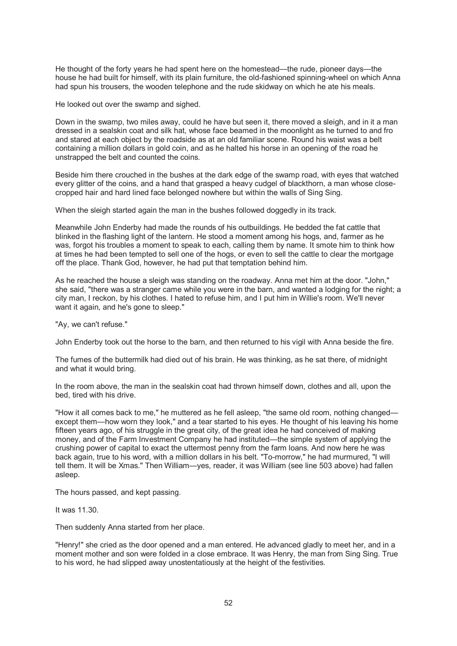He thought of the forty years he had spent here on the homestead—the rude, pioneer days—the house he had built for himself, with its plain furniture, the old-fashioned spinning-wheel on which Anna had spun his trousers, the wooden telephone and the rude skidway on which he ate his meals.

He looked out over the swamp and sighed.

Down in the swamp, two miles away, could he have but seen it, there moved a sleigh, and in it a man dressed in a sealskin coat and silk hat, whose face beamed in the moonlight as he turned to and fro and stared at each object by the roadside as at an old familiar scene. Round his waist was a belt containing a million dollars in gold coin, and as he halted his horse in an opening of the road he unstrapped the belt and counted the coins.

Beside him there crouched in the bushes at the dark edge of the swamp road, with eyes that watched every glitter of the coins, and a hand that grasped a heavy cudgel of blackthorn, a man whose closecropped hair and hard lined face belonged nowhere but within the walls of Sing Sing.

When the sleigh started again the man in the bushes followed doggedly in its track.

Meanwhile John Enderby had made the rounds of his outbuildings. He bedded the fat cattle that blinked in the flashing light of the lantern. He stood a moment among his hogs, and, farmer as he was, forgot his troubles a moment to speak to each, calling them by name. It smote him to think how at times he had been tempted to sell one of the hogs, or even to sell the cattle to clear the mortgage off the place. Thank God, however, he had put that temptation behind him.

As he reached the house a sleigh was standing on the roadway. Anna met him at the door. "John," she said, "there was a stranger came while you were in the barn, and wanted a lodging for the night; a city man, I reckon, by his clothes. I hated to refuse him, and I put him in Willie's room. We'll never want it again, and he's gone to sleep."

"Ay, we can't refuse."

John Enderby took out the horse to the barn, and then returned to his vigil with Anna beside the fire.

The fumes of the buttermilk had died out of his brain. He was thinking, as he sat there, of midnight and what it would bring.

In the room above, the man in the sealskin coat had thrown himself down, clothes and all, upon the bed, tired with his drive.

"How it all comes back to me," he muttered as he fell asleep, "the same old room, nothing changed except them—how worn they look," and a tear started to his eyes. He thought of his leaving his home fifteen years ago, of his struggle in the great city, of the great idea he had conceived of making money, and of the Farm Investment Company he had instituted—the simple system of applying the crushing power of capital to exact the uttermost penny from the farm loans. And now here he was back again, true to his word, with a million dollars in his belt. "To-morrow," he had murmured, "I will tell them. It will be Xmas." Then William—yes, reader, it was William (see line 503 above) had fallen asleep.

The hours passed, and kept passing.

It was 11.30.

Then suddenly Anna started from her place.

"Henry!" she cried as the door opened and a man entered. He advanced gladly to meet her, and in a moment mother and son were folded in a close embrace. It was Henry, the man from Sing Sing. True to his word, he had slipped away unostentatiously at the height of the festivities.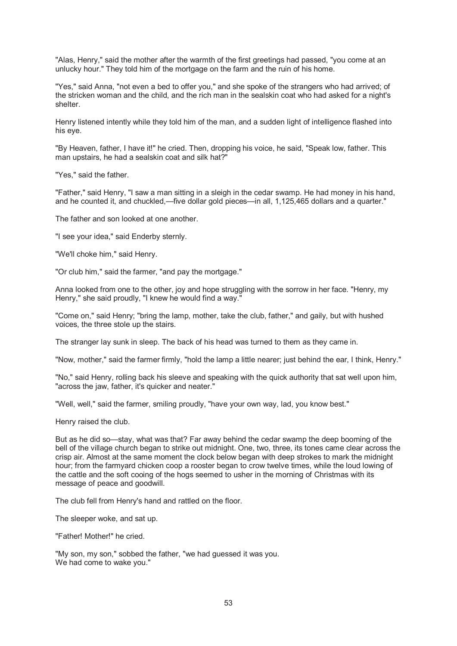"Alas, Henry," said the mother after the warmth of the first greetings had passed, "you come at an unlucky hour." They told him of the mortgage on the farm and the ruin of his home.

"Yes," said Anna, "not even a bed to offer you," and she spoke of the strangers who had arrived; of the stricken woman and the child, and the rich man in the sealskin coat who had asked for a night's shelter.

Henry listened intently while they told him of the man, and a sudden light of intelligence flashed into his eye.

"By Heaven, father, I have it!" he cried. Then, dropping his voice, he said, "Speak low, father. This man upstairs, he had a sealskin coat and silk hat?"

"Yes," said the father.

"Father," said Henry, "I saw a man sitting in a sleigh in the cedar swamp. He had money in his hand, and he counted it, and chuckled,—five dollar gold pieces—in all, 1,125,465 dollars and a quarter."

The father and son looked at one another.

"I see your idea," said Enderby sternly.

"We'll choke him," said Henry.

"Or club him," said the farmer, "and pay the mortgage."

Anna looked from one to the other, joy and hope struggling with the sorrow in her face. "Henry, my Henry," she said proudly, "I knew he would find a way."

"Come on," said Henry; "bring the lamp, mother, take the club, father," and gaily, but with hushed voices, the three stole up the stairs.

The stranger lay sunk in sleep. The back of his head was turned to them as they came in.

"Now, mother," said the farmer firmly, "hold the lamp a little nearer; just behind the ear, I think, Henry."

"No," said Henry, rolling back his sleeve and speaking with the quick authority that sat well upon him, "across the jaw, father, it's quicker and neater."

"Well, well," said the farmer, smiling proudly, "have your own way, lad, you know best."

Henry raised the club.

But as he did so—stay, what was that? Far away behind the cedar swamp the deep booming of the bell of the village church began to strike out midnight. One, two, three, its tones came clear across the crisp air. Almost at the same moment the clock below began with deep strokes to mark the midnight hour; from the farmyard chicken coop a rooster began to crow twelve times, while the loud lowing of the cattle and the soft cooing of the hogs seemed to usher in the morning of Christmas with its message of peace and goodwill.

The club fell from Henry's hand and rattled on the floor.

The sleeper woke, and sat up.

"Father! Mother!" he cried.

"My son, my son," sobbed the father, "we had guessed it was you. We had come to wake you."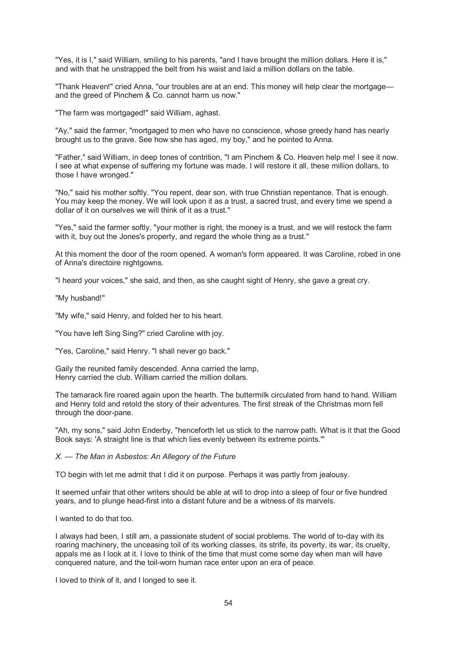"Yes, it is I," said William, smiling to his parents, "and I have brought the million dollars. Here it is," and with that he unstrapped the belt from his waist and laid a million dollars on the table.

"Thank Heaven!" cried Anna, "our troubles are at an end. This money will help clear the mortgage and the greed of Pinchem & Co. cannot harm us now."

"The farm was mortgaged!" said William, aghast.

"Ay," said the farmer, "mortgaged to men who have no conscience, whose greedy hand has nearly brought us to the grave. See how she has aged, my boy," and he pointed to Anna.

"Father," said William, in deep tones of contrition, "I am Pinchem & Co. Heaven help me! I see it now. I see at what expense of suffering my fortune was made. I will restore it all, these million dollars, to those I have wronged."

"No," said his mother softly. "You repent, dear son, with true Christian repentance. That is enough. You may keep the money. We will look upon it as a trust, a sacred trust, and every time we spend a dollar of it on ourselves we will think of it as a trust."

"Yes," said the farmer softly, "your mother is right, the money is a trust, and we will restock the farm with it, buy out the Jones's property, and regard the whole thing as a trust."

At this moment the door of the room opened. A woman's form appeared. It was Caroline, robed in one of Anna's directoire nightgowns.

"I heard your voices," she said, and then, as she caught sight of Henry, she gave a great cry.

"My husband!"

"My wife," said Henry, and folded her to his heart.

"You have left Sing Sing?" cried Caroline with joy.

"Yes, Caroline," said Henry. "I shall never go back."

Gaily the reunited family descended. Anna carried the lamp, Henry carried the club. William carried the million dollars.

The tamarack fire roared again upon the hearth. The buttermilk circulated from hand to hand. William and Henry told and retold the story of their adventures. The first streak of the Christmas morn fell through the door-pane.

"Ah, my sons," said John Enderby, "henceforth let us stick to the narrow path. What is it that the Good Book says: 'A straight line is that which lies evenly between its extreme points.'"

*X. — The Man in Asbestos: An Allegory of the Future*

TO begin with let me admit that I did it on purpose. Perhaps it was partly from jealousy.

It seemed unfair that other writers should be able at will to drop into a sleep of four or five hundred years, and to plunge head-first into a distant future and be a witness of its marvels.

I wanted to do that too.

I always had been, I still am, a passionate student of social problems. The world of to-day with its roaring machinery, the unceasing toil of its working classes, its strife, its poverty, its war, its cruelty, appals me as I look at it. I love to think of the time that must come some day when man will have conquered nature, and the toil-worn human race enter upon an era of peace.

I loved to think of it, and I longed to see it.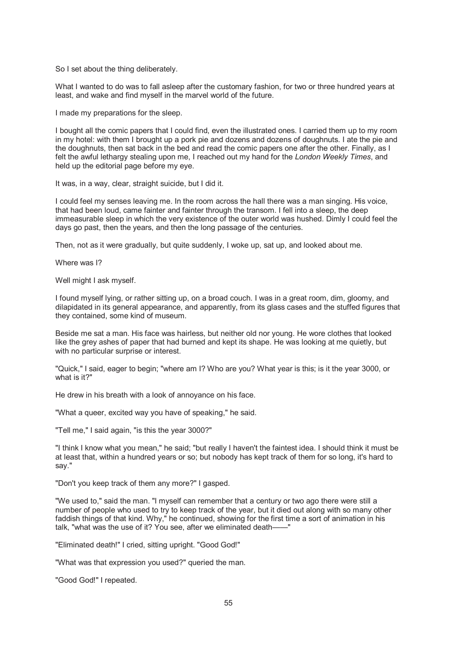So I set about the thing deliberately.

What I wanted to do was to fall asleep after the customary fashion, for two or three hundred years at least, and wake and find myself in the marvel world of the future.

I made my preparations for the sleep.

I bought all the comic papers that I could find, even the illustrated ones. I carried them up to my room in my hotel: with them I brought up a pork pie and dozens and dozens of doughnuts. I ate the pie and the doughnuts, then sat back in the bed and read the comic papers one after the other. Finally, as I felt the awful lethargy stealing upon me, I reached out my hand for the *London Weekly Times*, and held up the editorial page before my eye.

It was, in a way, clear, straight suicide, but I did it.

I could feel my senses leaving me. In the room across the hall there was a man singing. His voice, that had been loud, came fainter and fainter through the transom. I fell into a sleep, the deep immeasurable sleep in which the very existence of the outer world was hushed. Dimly I could feel the days go past, then the years, and then the long passage of the centuries.

Then, not as it were gradually, but quite suddenly, I woke up, sat up, and looked about me.

Where was I?

Well might I ask myself.

I found myself lying, or rather sitting up, on a broad couch. I was in a great room, dim, gloomy, and dilapidated in its general appearance, and apparently, from its glass cases and the stuffed figures that they contained, some kind of museum.

Beside me sat a man. His face was hairless, but neither old nor young. He wore clothes that looked like the grey ashes of paper that had burned and kept its shape. He was looking at me quietly, but with no particular surprise or interest.

"Quick," I said, eager to begin; "where am I? Who are you? What year is this; is it the year 3000, or what is it?"

He drew in his breath with a look of annoyance on his face.

"What a queer, excited way you have of speaking," he said.

"Tell me," I said again, "is this the year 3000?"

"I think I know what you mean," he said; "but really I haven't the faintest idea. I should think it must be at least that, within a hundred years or so; but nobody has kept track of them for so long, it's hard to say."

"Don't you keep track of them any more?" I gasped.

"We used to," said the man. "I myself can remember that a century or two ago there were still a number of people who used to try to keep track of the year, but it died out along with so many other faddish things of that kind. Why," he continued, showing for the first time a sort of animation in his talk, "what was the use of it? You see, after we eliminated death——"

"Eliminated death!" I cried, sitting upright. "Good God!"

"What was that expression you used?" queried the man.

"Good God!" I repeated.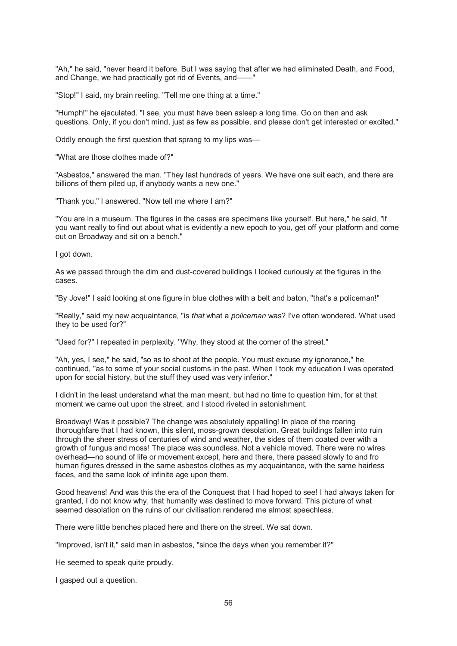"Ah," he said, "never heard it before. But I was saying that after we had eliminated Death, and Food, and Change, we had practically got rid of Events, and——"

"Stop!" I said, my brain reeling. "Tell me one thing at a time."

"Humph!" he ejaculated. "I see, you must have been asleep a long time. Go on then and ask questions. Only, if you don't mind, just as few as possible, and please don't get interested or excited."

Oddly enough the first question that sprang to my lips was—

"What are those clothes made of?"

"Asbestos," answered the man. "They last hundreds of years. We have one suit each, and there are billions of them piled up, if anybody wants a new one."

"Thank you," I answered. "Now tell me where I am?"

"You are in a museum. The figures in the cases are specimens like yourself. But here," he said, "if you want really to find out about what is evidently a new epoch to you, get off your platform and come out on Broadway and sit on a bench."

I got down.

As we passed through the dim and dust-covered buildings I looked curiously at the figures in the cases.

"By Jove!'' I said looking at one figure in blue clothes with a belt and baton, "that's a policeman!"

"Really," said my new acquaintance, "is *that* what a *policeman* was? I've often wondered. What used they to be used for?"

"Used for?" I repeated in perplexity. "Why, they stood at the corner of the street."

"Ah, yes, I see," he said, "so as to shoot at the people. You must excuse my ignorance," he continued, "as to some of your social customs in the past. When I took my education I was operated upon for social history, but the stuff they used was very inferior."

I didn't in the least understand what the man meant, but had no time to question him, for at that moment we came out upon the street, and I stood riveted in astonishment.

Broadway! Was it possible? The change was absolutely appalling! In place of the roaring thoroughfare that I had known, this silent, moss-grown desolation. Great buildings fallen into ruin through the sheer stress of centuries of wind and weather, the sides of them coated over with a growth of fungus and moss! The place was soundless. Not a vehicle moved. There were no wires overhead—no sound of life or movement except, here and there, there passed slowly to and fro human figures dressed in the same asbestos clothes as my acquaintance, with the same hairless faces, and the same look of infinite age upon them.

Good heavens! And was this the era of the Conquest that I had hoped to see! I had always taken for granted, I do not know why, that humanity was destined to move forward. This picture of what seemed desolation on the ruins of our civilisation rendered me almost speechless.

There were little benches placed here and there on the street. We sat down.

"Improved, isn't it," said man in asbestos, "since the days when you remember it?"

He seemed to speak quite proudly.

I gasped out a question.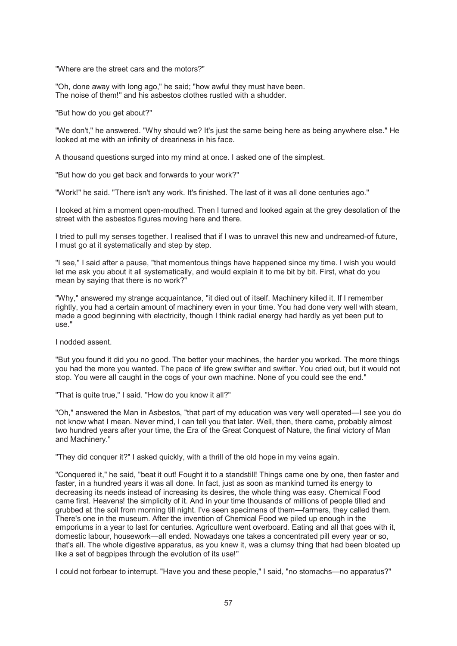"Where are the street cars and the motors?"

"Oh, done away with long ago," he said; "how awful they must have been. The noise of them!" and his asbestos clothes rustled with a shudder.

"But how do you get about?"

"We don't," he answered. "Why should we? It's just the same being here as being anywhere else." He looked at me with an infinity of dreariness in his face.

A thousand questions surged into my mind at once. I asked one of the simplest.

"But how do you get back and forwards to your work?"

"Work!" he said. "There isn't any work. It's finished. The last of it was all done centuries ago."

I looked at him a moment open-mouthed. Then I turned and looked again at the grey desolation of the street with the asbestos figures moving here and there.

I tried to pull my senses together. I realised that if I was to unravel this new and undreamed-of future, I must go at it systematically and step by step.

"I see," I said after a pause, "that momentous things have happened since my time. I wish you would let me ask you about it all systematically, and would explain it to me bit by bit. First, what do you mean by saying that there is no work?"

"Why," answered my strange acquaintance, "it died out of itself. Machinery killed it. If I remember rightly, you had a certain amount of machinery even in your time. You had done very well with steam, made a good beginning with electricity, though I think radial energy had hardly as yet been put to use."

I nodded assent.

"But you found it did you no good. The better your machines, the harder you worked. The more things you had the more you wanted. The pace of life grew swifter and swifter. You cried out, but it would not stop. You were all caught in the cogs of your own machine. None of you could see the end."

"That is quite true," I said. "How do you know it all?"

"Oh," answered the Man in Asbestos, "that part of my education was very well operated—I see you do not know what I mean. Never mind, I can tell you that later. Well, then, there came, probably almost two hundred years after your time, the Era of the Great Conquest of Nature, the final victory of Man and Machinery."

"They did conquer it?" I asked quickly, with a thrill of the old hope in my veins again.

"Conquered it," he said, "beat it out! Fought it to a standstill! Things came one by one, then faster and faster, in a hundred years it was all done. In fact, just as soon as mankind turned its energy to decreasing its needs instead of increasing its desires, the whole thing was easy. Chemical Food came first. Heavens! the simplicity of it. And in your time thousands of millions of people tilled and grubbed at the soil from morning till night. I've seen specimens of them—farmers, they called them. There's one in the museum. After the invention of Chemical Food we piled up enough in the emporiums in a year to last for centuries. Agriculture went overboard. Eating and all that goes with it, domestic labour, housework—all ended. Nowadays one takes a concentrated pill every year or so, that's all. The whole digestive apparatus, as you knew it, was a clumsy thing that had been bloated up like a set of bagpipes through the evolution of its use!"

I could not forbear to interrupt. "Have you and these people," I said, "no stomachs—no apparatus?"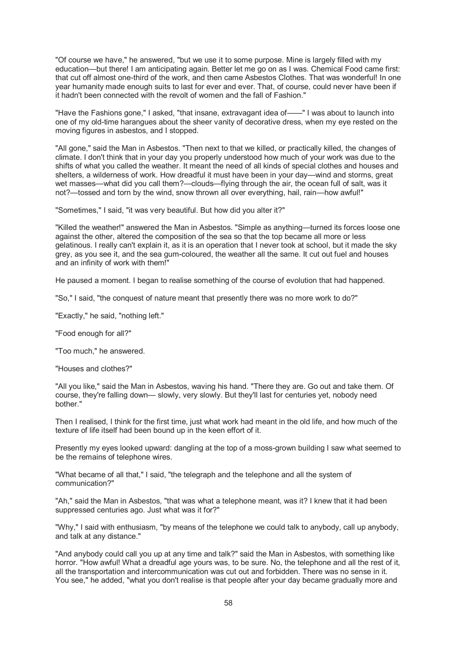"Of course we have," he answered, "but we use it to some purpose. Mine is largely filled with my education—but there! I am anticipating again. Better let me go on as I was. Chemical Food came first: that cut off almost one-third of the work, and then came Asbestos Clothes. That was wonderful! In one year humanity made enough suits to last for ever and ever. That, of course, could never have been if it hadn't been connected with the revolt of women and the fall of Fashion."

"Have the Fashions gone," I asked, "that insane, extravagant idea of——" I was about to launch into one of my old-time harangues about the sheer vanity of decorative dress, when my eye rested on the moving figures in asbestos, and I stopped.

"All gone," said the Man in Asbestos. "Then next to that we killed, or practically killed, the changes of climate. I don't think that in your day you properly understood how much of your work was due to the shifts of what you called the weather. It meant the need of all kinds of special clothes and houses and shelters, a wilderness of work. How dreadful it must have been in your day—wind and storms, great wet masses—what did you call them?—clouds—flying through the air, the ocean full of salt, was it not?—tossed and torn by the wind, snow thrown all over everything, hail, rain—how awful!"

"Sometimes," I said, "it was very beautiful. But how did you alter it?"

"Killed the weather!" answered the Man in Asbestos. "Simple as anything—turned its forces loose one against the other, altered the composition of the sea so that the top became all more or less gelatinous. I really can't explain it, as it is an operation that I never took at school, but it made the sky grey, as you see it, and the sea gum-coloured, the weather all the same. It cut out fuel and houses and an infinity of work with them!"

He paused a moment. I began to realise something of the course of evolution that had happened.

"So," I said, "the conquest of nature meant that presently there was no more work to do?"

"Exactly," he said, "nothing left."

"Food enough for all?"

"Too much," he answered.

"Houses and clothes?"

"All you like," said the Man in Asbestos, waving his hand. "There they are. Go out and take them. Of course, they're falling down— slowly, very slowly. But they'll last for centuries yet, nobody need bother."

Then I realised, I think for the first time, just what work had meant in the old life, and how much of the texture of life itself had been bound up in the keen effort of it.

Presently my eyes looked upward: dangling at the top of a moss-grown building I saw what seemed to be the remains of telephone wires.

"What became of all that," I said, "the telegraph and the telephone and all the system of communication?"

"Ah," said the Man in Asbestos, "that was what a telephone meant, was it? I knew that it had been suppressed centuries ago. Just what was it for?"

"Why," I said with enthusiasm, "by means of the telephone we could talk to anybody, call up anybody, and talk at any distance."

"And anybody could call you up at any time and talk?" said the Man in Asbestos, with something like horror. "How awful! What a dreadful age yours was, to be sure. No, the telephone and all the rest of it, all the transportation and intercommunication was cut out and forbidden. There was no sense in it. You see," he added, "what you don't realise is that people after your day became gradually more and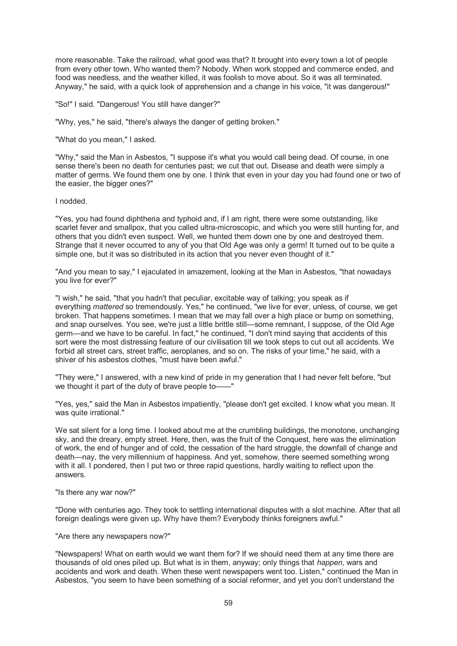more reasonable. Take the railroad, what good was that? It brought into every town a lot of people from every other town. Who wanted them? Nobody. When work stopped and commerce ended, and food was needless, and the weather killed, it was foolish to move about. So it was all terminated. Anyway," he said, with a quick look of apprehension and a change in his voice, "it was dangerous!"

"So!" I said. "Dangerous! You still have danger?"

"Why, yes," he said, "there's always the danger of getting broken."

"What do you mean," I asked.

"Why," said the Man in Asbestos, "I suppose it's what you would call being dead. Of course, in one sense there's been no death for centuries past; we cut that out. Disease and death were simply a matter of germs. We found them one by one. I think that even in your day you had found one or two of the easier, the bigger ones?"

I nodded.

"Yes, you had found diphtheria and typhoid and, if I am right, there were some outstanding, like scarlet fever and smallpox, that you called ultra-microscopic, and which you were still hunting for, and others that you didn't even suspect. Well, we hunted them down one by one and destroyed them. Strange that it never occurred to any of you that Old Age was only a germ! It turned out to be quite a simple one, but it was so distributed in its action that you never even thought of it."

"And you mean to say," I ejaculated in amazement, looking at the Man in Asbestos, "that nowadays you live for ever?"

"I wish," he said, "that you hadn't that peculiar, excitable way of talking; you speak as if everything *mattered* so tremendously. Yes," he continued, "we live for ever, unless, of course, we get broken. That happens sometimes. I mean that we may fall over a high place or bump on something, and snap ourselves. You see, we're just a little brittle still—some remnant, I suppose, of the Old Age germ—and we have to be careful. In fact," he continued, "I don't mind saying that accidents of this sort were the most distressing feature of our civilisation till we took steps to cut out all accidents. We forbid all street cars, street traffic, aeroplanes, and so on. The risks of your time," he said, with a shiver of his asbestos clothes, "must have been awful."

"They were," I answered, with a new kind of pride in my generation that I had never felt before, "but we thought it part of the duty of brave people to-

"Yes, yes," said the Man in Asbestos impatiently, "please don't get excited. I know what you mean. It was quite irrational."

We sat silent for a long time. I looked about me at the crumbling buildings, the monotone, unchanging sky, and the dreary, empty street. Here, then, was the fruit of the Conquest, here was the elimination of work, the end of hunger and of cold, the cessation of the hard struggle, the downfall of change and death—nay, the very millennium of happiness. And yet, somehow, there seemed something wrong with it all. I pondered, then I put two or three rapid questions, hardly waiting to reflect upon the answers.

"Is there any war now?"

"Done with centuries ago. They took to settling international disputes with a slot machine. After that all foreign dealings were given up. Why have them? Everybody thinks foreigners awful."

"Are there any newspapers now?"

"Newspapers! What on earth would we want them for? If we should need them at any time there are thousands of old ones piled up. But what is in them, anyway; only things that *happen*, wars and accidents and work and death. When these went newspapers went too. Listen," continued the Man in Asbestos, "you seem to have been something of a social reformer, and yet you don't understand the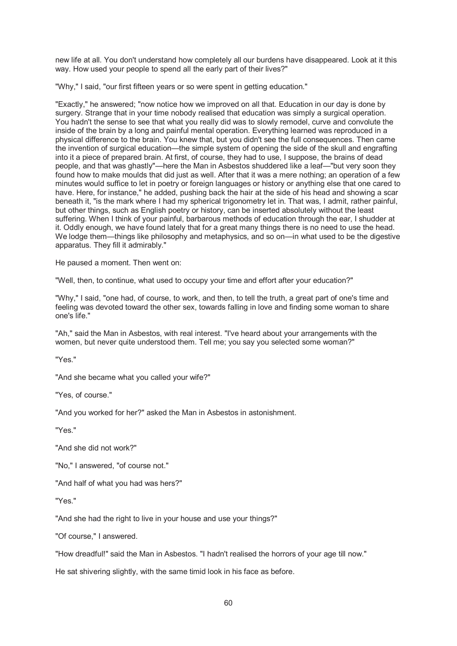new life at all. You don't understand how completely all our burdens have disappeared. Look at it this way. How used your people to spend all the early part of their lives?"

"Why," I said, "our first fifteen years or so were spent in getting education."

"Exactly," he answered; "now notice how we improved on all that. Education in our day is done by surgery. Strange that in your time nobody realised that education was simply a surgical operation. You hadn't the sense to see that what you really did was to slowly remodel, curve and convolute the inside of the brain by a long and painful mental operation. Everything learned was reproduced in a physical difference to the brain. You knew that, but you didn't see the full consequences. Then came the invention of surgical education—the simple system of opening the side of the skull and engrafting into it a piece of prepared brain. At first, of course, they had to use, I suppose, the brains of dead people, and that was ghastly"—here the Man in Asbestos shuddered like a leaf—"but very soon they found how to make moulds that did just as well. After that it was a mere nothing; an operation of a few minutes would suffice to let in poetry or foreign languages or history or anything else that one cared to have. Here, for instance," he added, pushing back the hair at the side of his head and showing a scar beneath it, "is the mark where I had my spherical trigonometry let in. That was, I admit, rather painful, but other things, such as English poetry or history, can be inserted absolutely without the least suffering. When I think of your painful, barbarous methods of education through the ear, I shudder at it. Oddly enough, we have found lately that for a great many things there is no need to use the head. We lodge them—things like philosophy and metaphysics, and so on—in what used to be the digestive apparatus. They fill it admirably."

He paused a moment. Then went on:

"Well, then, to continue, what used to occupy your time and effort after your education?"

"Why," I said, "one had, of course, to work, and then, to tell the truth, a great part of one's time and feeling was devoted toward the other sex, towards falling in love and finding some woman to share one's life."

"Ah," said the Man in Asbestos, with real interest. "I've heard about your arrangements with the women, but never quite understood them. Tell me; you say you selected some woman?"

"Yes."

"And she became what you called your wife?"

"Yes, of course."

"And you worked for her?" asked the Man in Asbestos in astonishment.

"Yes."

"And she did not work?"

"No," I answered, "of course not."

"And half of what you had was hers?"

"Yes."

"And she had the right to live in your house and use your things?"

"Of course," I answered.

"How dreadful!" said the Man in Asbestos. "I hadn't realised the horrors of your age till now."

He sat shivering slightly, with the same timid look in his face as before.